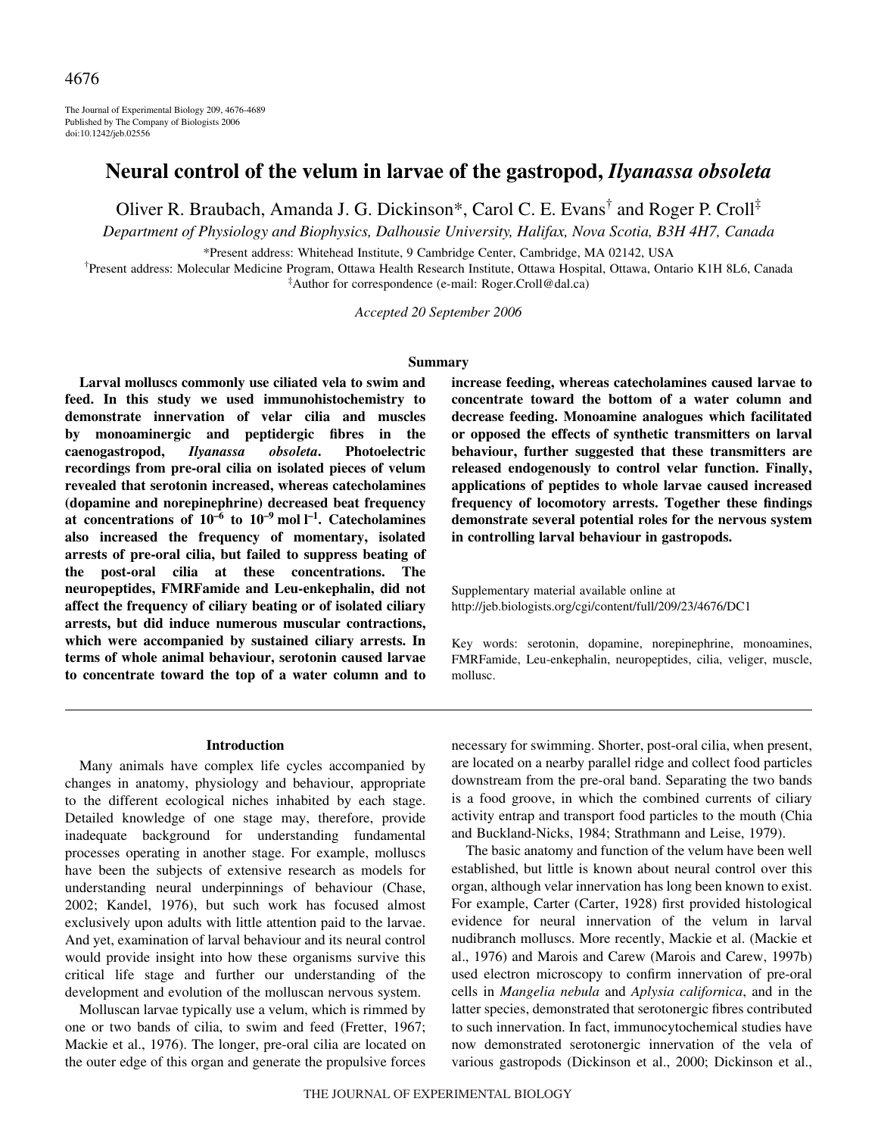The Journal of Experimental Biology 209, 4676-4689 Published by The Company of Biologists 2006 doi:10.1242/jeb.02556

# **Neural control of the velum in larvae of the gastropod,** *Ilyanassa obsoleta*

Oliver R. Braubach, Amanda J. G. Dickinson\*, Carol C. E. Evans† and Roger P. Croll‡

*Department of Physiology and Biophysics, Dalhousie University, Halifax, Nova Scotia, B3H 4H7, Canada*

\*Present address: Whitehead Institute, 9 Cambridge Center, Cambridge, MA 02142, USA

† Present address: Molecular Medicine Program, Ottawa Health Research Institute, Ottawa Hospital, Ottawa, Ontario K1H 8L6, Canada ‡ Author for correspondence (e-mail: Roger.Croll@dal.ca)

*Accepted 20 September 2006*

#### **Summary**

**Larval molluscs commonly use ciliated vela to swim and feed. In this study we used immunohistochemistry to demonstrate innervation of velar cilia and muscles by monoaminergic and peptidergic fibres in the caenogastropod,** *Ilyanassa obsoleta***. Photoelectric recordings from pre-oral cilia on isolated pieces of velum revealed that serotonin increased, whereas catecholamines (dopamine and norepinephrine) decreased beat frequency at concentrations of 10–6 to 10–9·mol·l –1. Catecholamines also increased the frequency of momentary, isolated arrests of pre-oral cilia, but failed to suppress beating of the post-oral cilia at these concentrations. The neuropeptides, FMRFamide and Leu-enkephalin, did not affect the frequency of ciliary beating or of isolated ciliary arrests, but did induce numerous muscular contractions, which were accompanied by sustained ciliary arrests. In terms of whole animal behaviour, serotonin caused larvae to concentrate toward the top of a water column and to**

**increase feeding, whereas catecholamines caused larvae to concentrate toward the bottom of a water column and decrease feeding. Monoamine analogues which facilitated or opposed the effects of synthetic transmitters on larval behaviour, further suggested that these transmitters are released endogenously to control velar function. Finally, applications of peptides to whole larvae caused increased frequency of locomotory arrests. Together these findings demonstrate several potential roles for the nervous system in controlling larval behaviour in gastropods.**

Supplementary material available online at http://jeb.biologists.org/cgi/content/full/209/23/4676/DC1

Key words: serotonin, dopamine, norepinephrine, monoamines, FMRFamide, Leu-enkephalin, neuropeptides, cilia, veliger, muscle, mollusc.

#### **Introduction**

Many animals have complex life cycles accompanied by changes in anatomy, physiology and behaviour, appropriate to the different ecological niches inhabited by each stage. Detailed knowledge of one stage may, therefore, provide inadequate background for understanding fundamental processes operating in another stage. For example, molluscs have been the subjects of extensive research as models for understanding neural underpinnings of behaviour (Chase, 2002; Kandel, 1976), but such work has focused almost exclusively upon adults with little attention paid to the larvae. And yet, examination of larval behaviour and its neural control would provide insight into how these organisms survive this critical life stage and further our understanding of the development and evolution of the molluscan nervous system.

Molluscan larvae typically use a velum, which is rimmed by one or two bands of cilia, to swim and feed (Fretter, 1967; Mackie et al., 1976). The longer, pre-oral cilia are located on the outer edge of this organ and generate the propulsive forces necessary for swimming. Shorter, post-oral cilia, when present, are located on a nearby parallel ridge and collect food particles downstream from the pre-oral band. Separating the two bands is a food groove, in which the combined currents of ciliary activity entrap and transport food particles to the mouth (Chia and Buckland-Nicks, 1984; Strathmann and Leise, 1979).

The basic anatomy and function of the velum have been well established, but little is known about neural control over this organ, although velar innervation has long been known to exist. For example, Carter (Carter, 1928) first provided histological evidence for neural innervation of the velum in larval nudibranch molluscs. More recently, Mackie et al. (Mackie et al., 1976) and Marois and Carew (Marois and Carew, 1997b) used electron microscopy to confirm innervation of pre-oral cells in *Mangelia nebula* and *Aplysia californica*, and in the latter species, demonstrated that serotonergic fibres contributed to such innervation. In fact, immunocytochemical studies have now demonstrated serotonergic innervation of the vela of various gastropods (Dickinson et al., 2000; Dickinson et al.,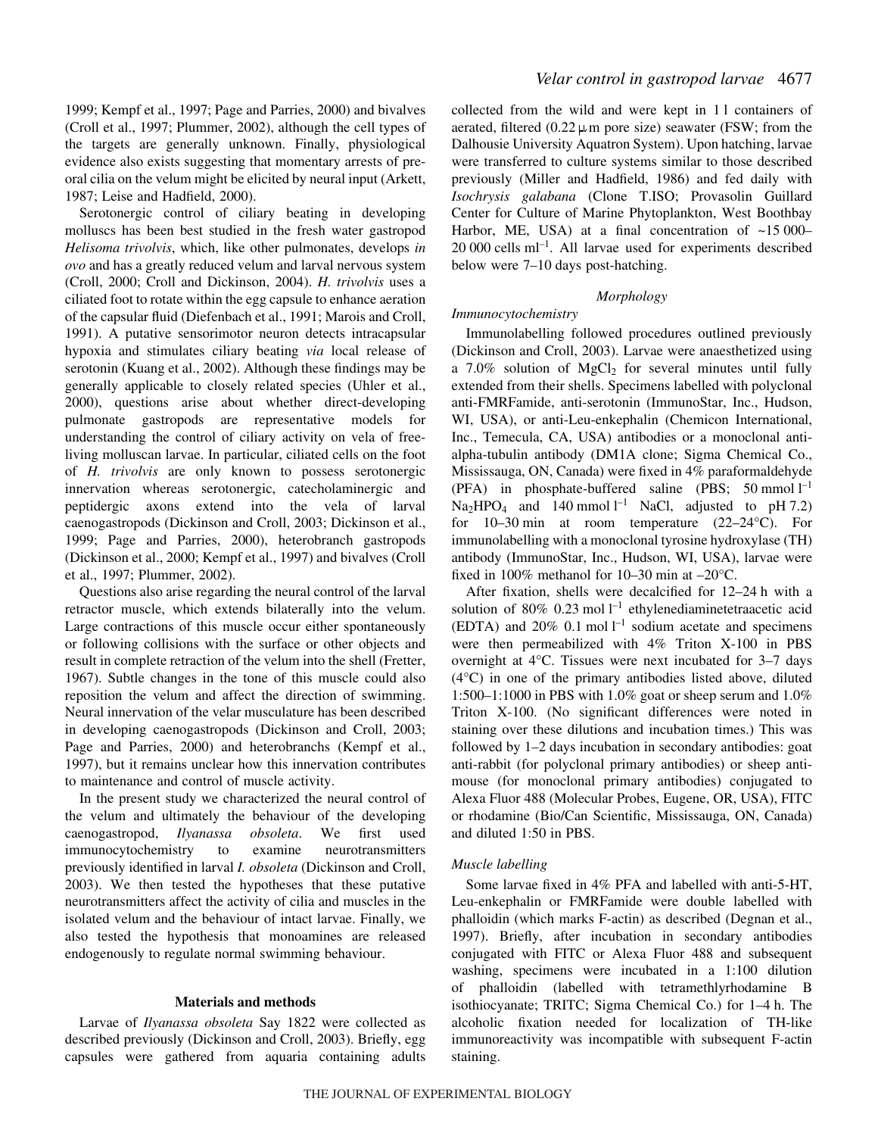1999; Kempf et al., 1997; Page and Parries, 2000) and bivalves (Croll et al., 1997; Plummer, 2002), although the cell types of the targets are generally unknown. Finally, physiological evidence also exists suggesting that momentary arrests of preoral cilia on the velum might be elicited by neural input (Arkett, 1987; Leise and Hadfield, 2000).

Serotonergic control of ciliary beating in developing molluscs has been best studied in the fresh water gastropod *Helisoma trivolvis*, which, like other pulmonates, develops *in ovo* and has a greatly reduced velum and larval nervous system (Croll, 2000; Croll and Dickinson, 2004). *H. trivolvis* uses a ciliated foot to rotate within the egg capsule to enhance aeration of the capsular fluid (Diefenbach et al., 1991; Marois and Croll, 1991). A putative sensorimotor neuron detects intracapsular hypoxia and stimulates ciliary beating *via* local release of serotonin (Kuang et al., 2002). Although these findings may be generally applicable to closely related species (Uhler et al., 2000), questions arise about whether direct-developing pulmonate gastropods are representative models for understanding the control of ciliary activity on vela of freeliving molluscan larvae. In particular, ciliated cells on the foot of *H. trivolvis* are only known to possess serotonergic innervation whereas serotonergic, catecholaminergic and peptidergic axons extend into the vela of larval caenogastropods (Dickinson and Croll, 2003; Dickinson et al., 1999; Page and Parries, 2000), heterobranch gastropods (Dickinson et al., 2000; Kempf et al., 1997) and bivalves (Croll et al., 1997; Plummer, 2002).

Questions also arise regarding the neural control of the larval retractor muscle, which extends bilaterally into the velum. Large contractions of this muscle occur either spontaneously or following collisions with the surface or other objects and result in complete retraction of the velum into the shell (Fretter, 1967). Subtle changes in the tone of this muscle could also reposition the velum and affect the direction of swimming. Neural innervation of the velar musculature has been described in developing caenogastropods (Dickinson and Croll, 2003; Page and Parries, 2000) and heterobranchs (Kempf et al., 1997), but it remains unclear how this innervation contributes to maintenance and control of muscle activity.

In the present study we characterized the neural control of the velum and ultimately the behaviour of the developing caenogastropod, *Ilyanassa obsoleta*. We first used immunocytochemistry to examine neurotransmitters previously identified in larval *I. obsoleta* (Dickinson and Croll, 2003). We then tested the hypotheses that these putative neurotransmitters affect the activity of cilia and muscles in the isolated velum and the behaviour of intact larvae. Finally, we also tested the hypothesis that monoamines are released endogenously to regulate normal swimming behaviour.

## **Materials and methods**

Larvae of *Ilyanassa obsoleta* Say 1822 were collected as described previously (Dickinson and Croll, 2003). Briefly, egg capsules were gathered from aquaria containing adults collected from the wild and were kept in 11 containers of aerated, filtered (0.22  $\mu$  m pore size) seawater (FSW; from the Dalhousie University Aquatron System). Upon hatching, larvae were transferred to culture systems similar to those described previously (Miller and Hadfield, 1986) and fed daily with *Isochrysis galabana* (Clone T.ISO; Provasolin Guillard Center for Culture of Marine Phytoplankton, West Boothbay Harbor, ME, USA) at a final concentration of  $\sim$ 15000–  $20\,000$  cells ml<sup>-1</sup>. All larvae used for experiments described below were  $7-10$  days post-hatching.

## *Morphology*

# *Immunocytochemistry*

Immunolabelling followed procedures outlined previously (Dickinson and Croll, 2003). Larvae were anaesthetized using a  $7.0\%$  solution of  $MgCl<sub>2</sub>$  for several minutes until fully extended from their shells. Specimens labelled with polyclonal anti-FMRFamide, anti-serotonin (ImmunoStar, Inc., Hudson, WI, USA), or anti-Leu-enkephalin (Chemicon International, Inc., Temecula, CA, USA) antibodies or a monoclonal antialpha-tubulin antibody (DM1A clone; Sigma Chemical Co., Mississauga, ON, Canada) were fixed in 4% paraformaldehyde (PFA) in phosphate-buffered saline (PBS; 50 mmol  $l^{-1}$  $Na<sub>2</sub>HPO<sub>4</sub>$  and 140 mmol  $l^{-1}$  NaCl, adjusted to pH 7.2) for  $10-30$  min at room temperature  $(22-24$ °C). For immunolabelling with a monoclonal tyrosine hydroxylase (TH) antibody (ImmunoStar, Inc., Hudson, WI, USA), larvae were fixed in 100% methanol for 10–30 min at  $-20^{\circ}$ C.

After fixation, shells were decalcified for 12-24 h with a solution of 80% 0.23 mol  $l^{-1}$  ethylenediaminetetraacetic acid (EDTA) and 20% 0.1 mol  $l^{-1}$  sodium acetate and specimens were then permeabilized with 4% Triton X-100 in PBS overnight at 4°C. Tissues were next incubated for 3–7 days (4°C) in one of the primary antibodies listed above, diluted 1:500–1:1000 in PBS with 1.0% goat or sheep serum and 1.0% Triton X-100. (No significant differences were noted in staining over these dilutions and incubation times.) This was followed by  $1-2$  days incubation in secondary antibodies: goat anti-rabbit (for polyclonal primary antibodies) or sheep antimouse (for monoclonal primary antibodies) conjugated to Alexa Fluor 488 (Molecular Probes, Eugene, OR, USA), FITC or rhodamine (Bio/Can Scientific, Mississauga, ON, Canada) and diluted 1:50 in PBS.

## *Muscle labelling*

Some larvae fixed in 4% PFA and labelled with anti-5-HT, Leu-enkephalin or FMRFamide were double labelled with phalloidin (which marks F-actin) as described (Degnan et al., 1997). Briefly, after incubation in secondary antibodies conjugated with FITC or Alexa Fluor 488 and subsequent washing, specimens were incubated in a 1:100 dilution of phalloidin (labelled with tetramethlyrhodamine B isothiocyanate; TRITC; Sigma Chemical Co.) for 1–4 h. The alcoholic fixation needed for localization of TH-like immunoreactivity was incompatible with subsequent F-actin staining.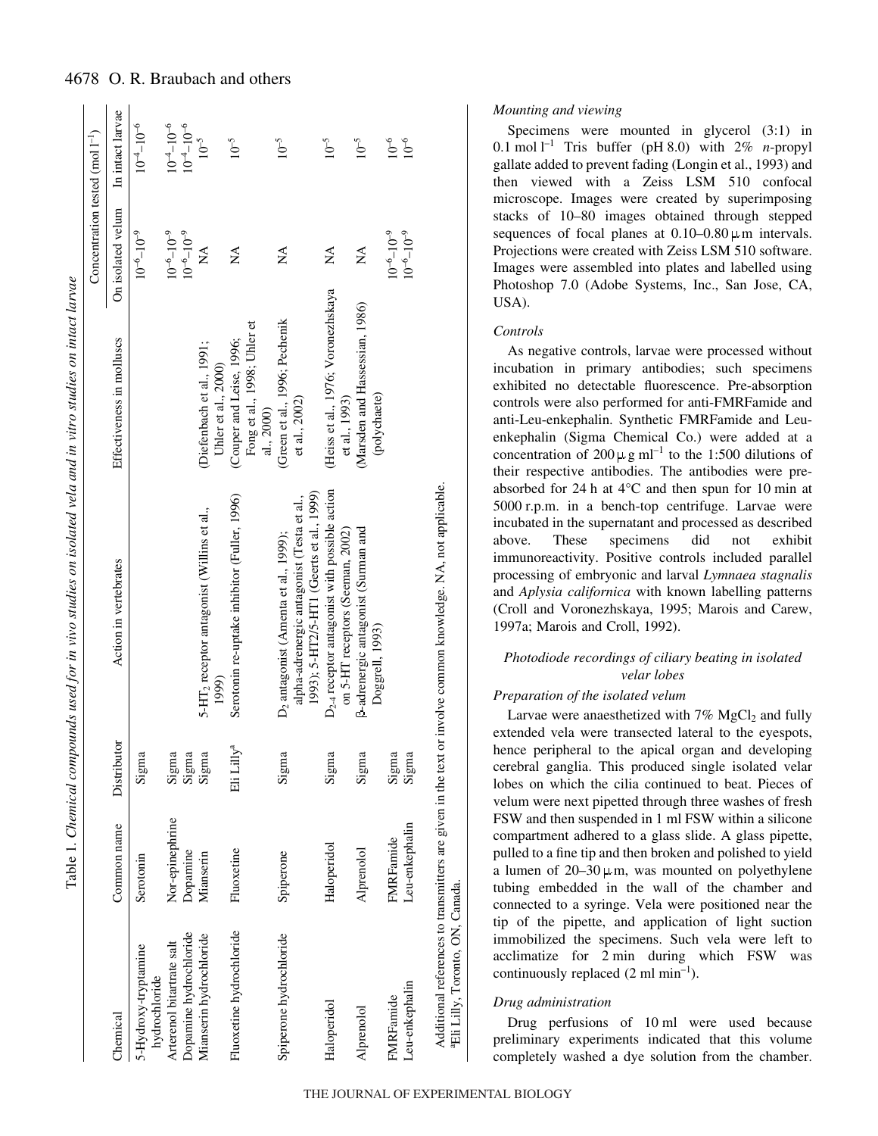| i                                    |
|--------------------------------------|
|                                      |
|                                      |
| i<br>I<br>I<br>I<br>I<br>I<br>I<br>I |
|                                      |
|                                      |
| $\mathbf{I}$                         |
|                                      |
|                                      |
|                                      |
|                                      |
|                                      |
|                                      |
|                                      |
|                                      |
|                                      |
|                                      |
|                                      |
|                                      |
|                                      |
|                                      |
|                                      |
|                                      |
| Ì                                    |
|                                      |
| l<br>l                               |
| į<br>֘֒<br>ŀ                         |

|                                              |                 |                        |                                                                                                                                            |                                                                       | Concentration tested (mol $1^{-1}$ ) |                     |
|----------------------------------------------|-----------------|------------------------|--------------------------------------------------------------------------------------------------------------------------------------------|-----------------------------------------------------------------------|--------------------------------------|---------------------|
| Chemical                                     | Common name     | Distributor            | Action in vertebrates                                                                                                                      | Effectiveness in molluscs                                             | On isolated velum                    | In intact larvae    |
| 5-Hydroxy-tryptamine<br>hydrochloride        | Serotonin       | Sigma                  |                                                                                                                                            |                                                                       | $10^{-6} - 10^{-9}$                  | $10^{-4} - 10^{-6}$ |
| Arterenol bitartrate salt                    | Nor-epinephrine | Sigma                  |                                                                                                                                            |                                                                       | $10^{-6} - 10^{-9}$                  | $10^{-4} - 10^{-6}$ |
| Dopamine hydrochloride                       | Dopamine        | Sigma                  |                                                                                                                                            |                                                                       | $10^{-6} - 10^{-9}$                  | $10^{-4} - 10^{-6}$ |
| Mianserin hydrochloride                      | Mianserin       | Sigma                  | 5-HT <sub>2</sub> receptor antagonist (Willins et al.,<br>1999)                                                                            | Diefenbach et al., 1991;<br>Uhler et al., 2000)                       | $\mathbb{E}$                         | $10^{-5}$           |
| Fluoxetine hydrochloride                     | Fluoxetine      | Eli Lilly <sup>a</sup> | Serotonin re-uptake inhibitor (Fuller, 1996)                                                                                               | Fong et al., 1998; Uhler et<br>(Couper and Leise, 1996;<br>al., 2000) | $\mathbb{A}^{\mathcal{A}}$           | $10^{-5}$           |
| Spiperone hydrochloride                      | Spiperone       | Sigma                  | 1993); 5-HT2/5-HT1 (Geerts et al., 1999)<br>alpha-adrenergic antagonist (Testa et al.,<br>D <sub>2</sub> antagonist (Amenta et al., 1999); | (Green et al., 1996; Pechenik<br>et al., 2002)                        | $\mathbb{\AA}$                       | $10^{-5}$           |
| Haloperidol                                  | Haloperidol     | Sigma                  | $D_{2,4}$ receptor antagonist with possible action<br>on 5-HT receptors (Seeman, 2002)                                                     | (Heiss et al., 1976; Voronezhskaya<br>et al., 1993)                   | $\mathbb{A}^{\mathcal{A}}$           | $10^{-5}$           |
| Alprenolol                                   | Alprenolol      | Sigma                  | B-adrenergic antagonist (Surman and<br>Doggrell, 1993)                                                                                     | (Marsden and Hassessian, 1986)<br>(polychaete)                        | $\mathbb{X}^{\mathsf{A}}$            | $10^{-5}$           |
| FMRFamide                                    | FMRFamide       | Sigma                  |                                                                                                                                            |                                                                       | $10^{-6} - 10^{-9}$                  | $10^{-6}$           |
| Leu-enkephalin                               | Leu-enkephalin  | Sigma                  |                                                                                                                                            |                                                                       | $10^{-6} - 10^{-9}$                  | $10^{-6}$           |
| <sup>a</sup> Eli Lilly, Toronto, ON, Canada. |                 |                        | Additional references to transmitters are given in the text or involve common knowledge. NA, not applicable.                               |                                                                       |                                      |                     |

## *Mounting and viewing*

Specimens were mounted in glycerol  $(3:1)$  in 0.1 mol  $l^{-1}$  Tris buffer (pH 8.0) with 2% *n*-propyl gallate added to prevent fading (Longin et al., 1993) and then viewed with a Zeiss LSM 510 confocal microscope. Images were created by superimposing stacks of 10–80 images obtained through stepped sequences of focal planes at  $0.10-0.80 \,\mu \text{m}$  intervals. Projections were created with Zeiss LSM 510 software. Images were assembled into plates and labelled using Photoshop 7.0 (Adobe Systems, Inc., San Jose, CA, USA).

## *Controls*

As negative controls, larvae were processed without incubation in primary antibodies; such specimens exhibited no detectable fluorescence. Pre-absorption controls were also performed for anti-FMRFamide and anti-Leu-enkephalin. Synthetic FMRFamide and Leuenkephalin (Sigma Chemical Co.) were added at a concentration of  $200 \mu g$  ml<sup>-1</sup> to the 1:500 dilutions of their respective antibodies. The antibodies were preabsorbed for 24 h at  $4^{\circ}$ C and then spun for 10 min at 5000 r.p.m. in a bench-top centrifuge. Larvae were incubated in the supernatant and processed as described above. These specimens did not exhibit immunoreactivity. Positive controls included parallel processing of embryonic and larval *Lymnaea stagnalis* and *Aplysia californica* with known labelling patterns (Croll and Voronezhskaya, 1995; Marois and Carew, 1997a; Marois and Croll, 1992).

## *Photodiode recordings of ciliary beating in isolated velar lobes*

## *Preparation of the isolated velum*

Larvae were anaesthetized with  $7\%$  MgCl<sub>2</sub> and fully extended vela were transected lateral to the eyespots, hence peripheral to the apical organ and developing cerebral ganglia. This produced single isolated velar lobes on which the cilia continued to beat. Pieces of velum were next pipetted through three washes of fresh FSW and then suspended in 1 ml FSW within a silicone compartment adhered to a glass slide. A glass pipette, pulled to a fine tip and then broken and polished to yield a lumen of  $20-30 \mu$ m, was mounted on polyethylene tubing embedded in the wall of the chamber and connected to a syringe. Vela were positioned near the tip of the pipette, and application of light suction immobilized the specimens. Such vela were left to acclimatize for 2 min during which FSW was continuously replaced  $(2 \text{ ml min}^{-1})$ .

## *Drug administration*

Drug perfusions of 10 ml were used because preliminary experiments indicated that this volume completely washed a dye solution from the chamber.

## 4678 O. R. Braubach and others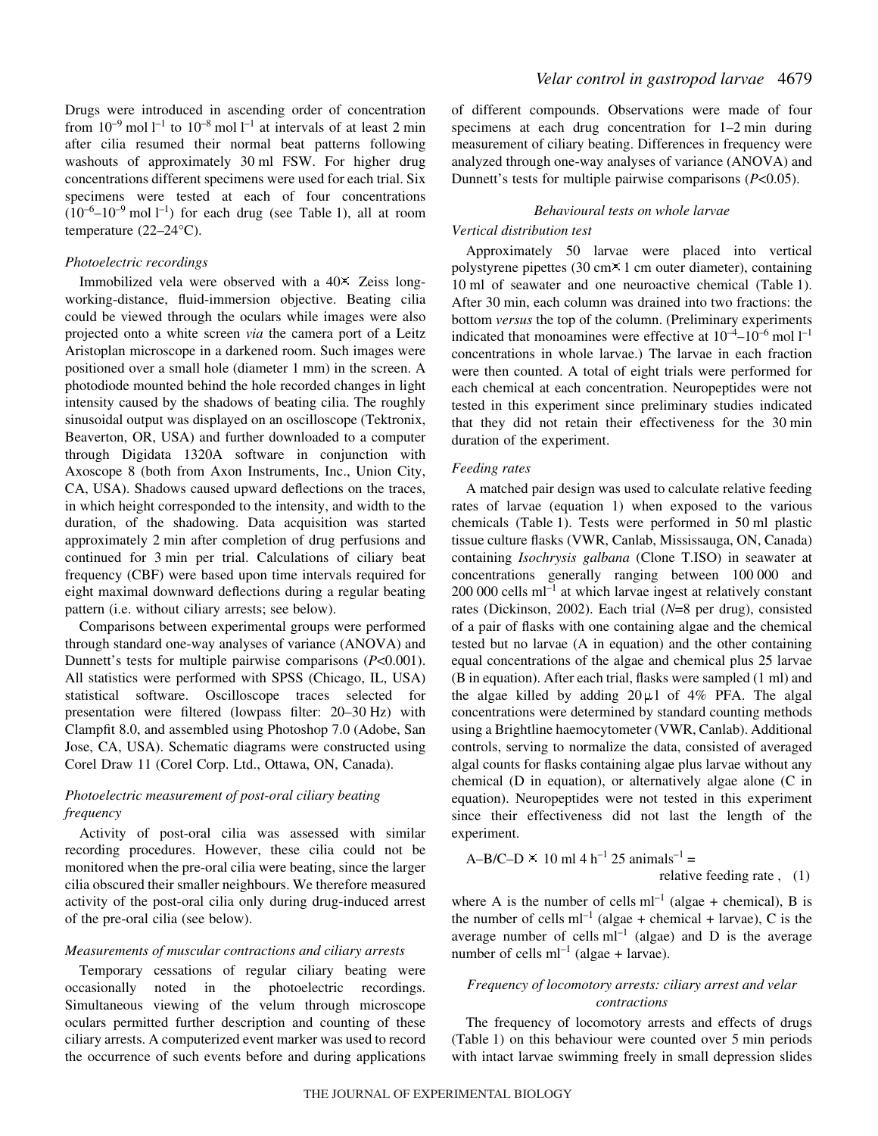Drugs were introduced in ascending order of concentration from  $10^{-9}$  mol  $1^{-1}$  to  $10^{-8}$  mol  $1^{-1}$  at intervals of at least 2 min after cilia resumed their normal beat patterns following washouts of approximately 30 ml FSW. For higher drug concentrations different specimens were used for each trial. Six specimens were tested at each of four concentrations  $(10^{-6}-10^{-9} \text{ mol } l^{-1})$  for each drug (see Table 1), all at room temperature (22–24°C).

## *Photoelectric recordings*

Immobilized vela were observed with a 40× Zeiss longworking-distance, fluid-immersion objective. Beating cilia could be viewed through the oculars while images were also projected onto a white screen *via* the camera port of a Leitz Aristoplan microscope in a darkened room. Such images were positioned over a small hole (diameter 1 mm) in the screen. A photodiode mounted behind the hole recorded changes in light intensity caused by the shadows of beating cilia. The roughly sinusoidal output was displayed on an oscilloscope (Tektronix, Beaverton, OR, USA) and further downloaded to a computer through Digidata 1320A software in conjunction with Axoscope 8 (both from Axon Instruments, Inc., Union City, CA, USA). Shadows caused upward deflections on the traces, in which height corresponded to the intensity, and width to the duration, of the shadowing. Data acquisition was started approximately 2 min after completion of drug perfusions and continued for 3 min per trial. Calculations of ciliary beat frequency (CBF) were based upon time intervals required for eight maximal downward deflections during a regular beating pattern (i.e. without ciliary arrests; see below).

Comparisons between experimental groups were performed through standard one-way analyses of variance (ANOVA) and Dunnett's tests for multiple pairwise comparisons (*P*<0.001). All statistics were performed with SPSS (Chicago, IL, USA) statistical software. Oscilloscope traces selected for presentation were filtered (lowpass filter: 20–30 Hz) with Clampfit 8.0, and assembled using Photoshop 7.0 (Adobe, San Jose, CA, USA). Schematic diagrams were constructed using Corel Draw 11 (Corel Corp. Ltd., Ottawa, ON, Canada).

## *Photoelectric measurement of post-oral ciliary beating frequency*

Activity of post-oral cilia was assessed with similar recording procedures. However, these cilia could not be monitored when the pre-oral cilia were beating, since the larger cilia obscured their smaller neighbours. We therefore measured activity of the post-oral cilia only during drug-induced arrest of the pre-oral cilia (see below).

## *Measurements of muscular contractions and ciliary arrests*

Temporary cessations of regular ciliary beating were occasionally noted in the photoelectric recordings. Simultaneous viewing of the velum through microscope oculars permitted further description and counting of these ciliary arrests. A computerized event marker was used to record the occurrence of such events before and during applications of different compounds. Observations were made of four specimens at each drug concentration for  $1-2$  min during measurement of ciliary beating. Differences in frequency were analyzed through one-way analyses of variance (ANOVA) and Dunnett's tests for multiple pairwise comparisons (*P*<0.05).

### *Behavioural tests on whole larvae*

## *Vertical distribution test*

Approximately 50 larvae were placed into vertical polystyrene pipettes  $(30 \text{ cm} \times 1 \text{ cm})$  outer diameter), containing 10 ml of seawater and one neuroactive chemical (Table 1). After 30 min, each column was drained into two fractions: the bottom *versus* the top of the column. (Preliminary experiments indicated that monoamines were effective at  $10^{-4}$ – $10^{-6}$  mol  $1^{-1}$ concentrations in whole larvae.) The larvae in each fraction were then counted. A total of eight trials were performed for each chemical at each concentration. Neuropeptides were not tested in this experiment since preliminary studies indicated that they did not retain their effectiveness for the 30 min duration of the experiment.

### *Feeding rates*

A matched pair design was used to calculate relative feeding rates of larvae (equation 1) when exposed to the various chemicals (Table 1). Tests were performed in 50 ml plastic tissue culture flasks (VWR, Canlab, Mississauga, ON, Canada) containing *Isochrysis galbana* (Clone T.ISO) in seawater at concentrations generally ranging between 100000 and  $200~000$  cells  $ml^{-1}$  at which larvae ingest at relatively constant rates (Dickinson, 2002). Each trial (*N*=8 per drug), consisted of a pair of flasks with one containing algae and the chemical tested but no larvae (A in equation) and the other containing equal concentrations of the algae and chemical plus 25 larvae (B in equation). After each trial, flasks were sampled (1 ml) and the algae killed by adding  $20 \mu l$  of 4% PFA. The algal concentrations were determined by standard counting methods using a Brightline haemocytometer (VWR, Canlab). Additional controls, serving to normalize the data, consisted of averaged algal counts for flasks containing algae plus larvae without any chemical (D in equation), or alternatively algae alone (C in equation). Neuropeptides were not tested in this experiment since their effectiveness did not last the length of the experiment.

A–B/C–D 3 10·ml·4·h–1·25·animals–1 = relative feeding rate·, (1)

where A is the number of cells  $ml^{-1}$  (algae + chemical), B is the number of cells  $ml^{-1}$  (algae + chemical + larvae), C is the average number of cells  $ml^{-1}$  (algae) and D is the average number of cells  $ml^{-1}$  (algae + larvae).

## *Frequency of locomotory arrests: ciliary arrest and velar contractions*

The frequency of locomotory arrests and effects of drugs (Table 1) on this behaviour were counted over 5 min periods with intact larvae swimming freely in small depression slides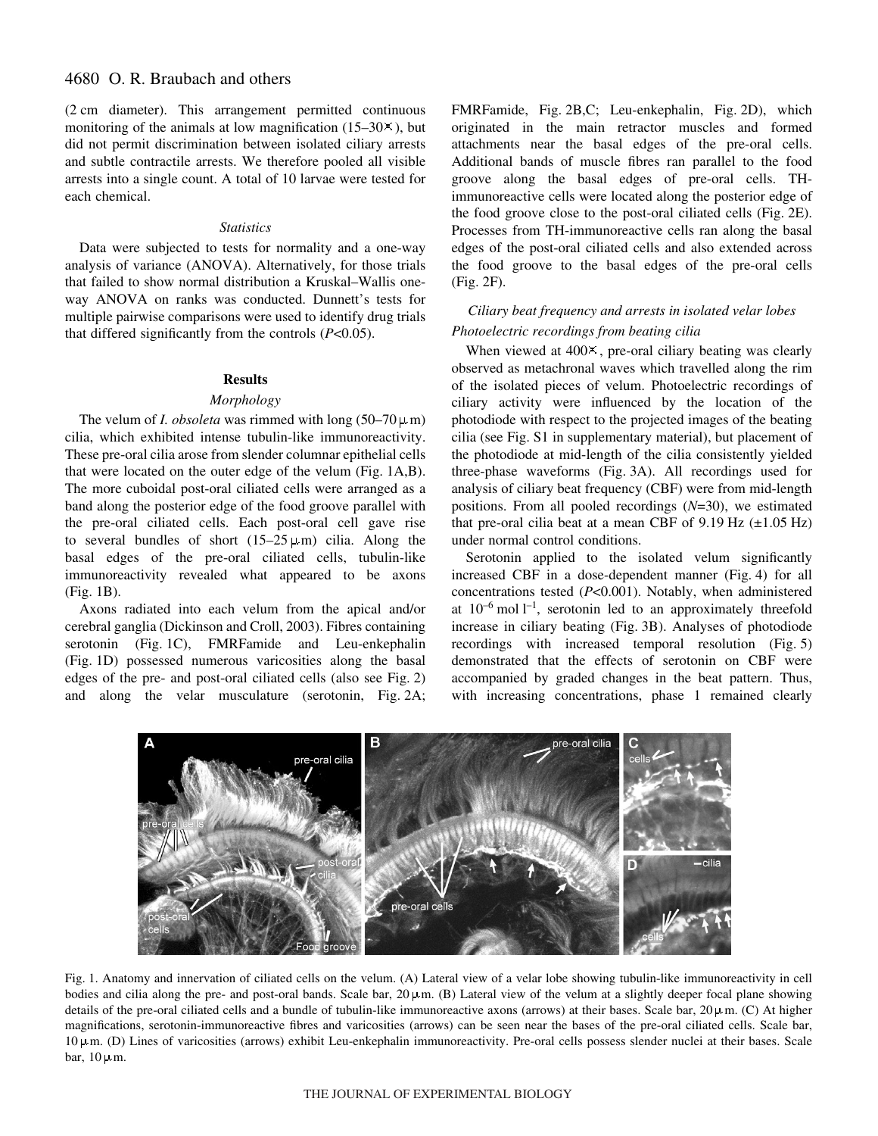(2 cm diameter). This arrangement permitted continuous monitoring of the animals at low magnification  $(15-30\times)$ , but did not permit discrimination between isolated ciliary arrests and subtle contractile arrests. We therefore pooled all visible arrests into a single count. A total of 10 larvae were tested for each chemical.

## *Statistics*

Data were subjected to tests for normality and a one-way analysis of variance (ANOVA). Alternatively, for those trials that failed to show normal distribution a Kruskal–Wallis oneway ANOVA on ranks was conducted. Dunnett's tests for multiple pairwise comparisons were used to identify drug trials that differed significantly from the controls (*P*<0.05).

#### **Results**

#### *Morphology*

The velum of *I. obsoleta* was rimmed with long  $(50-70 \,\mu\,\text{m})$ cilia, which exhibited intense tubulin-like immunoreactivity. These pre-oral cilia arose from slender columnar epithelial cells that were located on the outer edge of the velum (Fig. 1A,B). The more cuboidal post-oral ciliated cells were arranged as a band along the posterior edge of the food groove parallel with the pre-oral ciliated cells. Each post-oral cell gave rise to several bundles of short  $(15-25 \,\mu\text{m})$  cilia. Along the basal edges of the pre-oral ciliated cells, tubulin-like immunoreactivity revealed what appeared to be axons  $(Fig. 1B)$ .

Axons radiated into each velum from the apical and/or cerebral ganglia (Dickinson and Croll, 2003). Fibres containing serotonin (Fig. 1C), FMRFamide and Leu-enkephalin (Fig. 1D) possessed numerous varicosities along the basal edges of the pre- and post-oral ciliated cells (also see Fig. 2) and along the velar musculature (serotonin, Fig. 2A; FMRFamide, Fig. 2B,C; Leu-enkephalin, Fig. 2D), which originated in the main retractor muscles and formed attachments near the basal edges of the pre-oral cells. Additional bands of muscle fibres ran parallel to the food groove along the basal edges of pre-oral cells. THimmunoreactive cells were located along the posterior edge of the food groove close to the post-oral ciliated cells (Fig. 2E). Processes from TH-immunoreactive cells ran along the basal edges of the post-oral ciliated cells and also extended across the food groove to the basal edges of the pre-oral cells  $(Fig. 2F)$ .

## *Ciliary beat frequency and arrests in isolated velar lobes Photoelectric recordings from beating cilia*

When viewed at  $400<sup>\times</sup>$ , pre-oral ciliary beating was clearly observed as metachronal waves which travelled along the rim of the isolated pieces of velum. Photoelectric recordings of ciliary activity were influenced by the location of the photodiode with respect to the projected images of the beating cilia (see Fig. S1 in supplementary material), but placement of the photodiode at mid-length of the cilia consistently yielded three-phase waveforms (Fig. 3A). All recordings used for analysis of ciliary beat frequency (CBF) were from mid-length positions. From all pooled recordings (*N*=30), we estimated that pre-oral cilia beat at a mean CBF of  $9.19 \text{ Hz } (\pm 1.05 \text{ Hz})$ under normal control conditions.

Serotonin applied to the isolated velum significantly increased CBF in a dose-dependent manner (Fig. 4) for all concentrations tested (*P*<0.001). Notably, when administered at  $10^{-6}$  mol  $1^{-1}$ , serotonin led to an approximately threefold increase in ciliary beating (Fig. 3B). Analyses of photodiode recordings with increased temporal resolution (Fig. 5) demonstrated that the effects of serotonin on CBF were accompanied by graded changes in the beat pattern. Thus, with increasing concentrations, phase 1 remained clearly



Fig. 1. Anatomy and innervation of ciliated cells on the velum. (A) Lateral view of a velar lobe showing tubulin-like immunoreactivity in cell bodies and cilia along the pre- and post-oral bands. Scale bar,  $20 \mu$ m. (B) Lateral view of the velum at a slightly deeper focal plane showing details of the pre-oral ciliated cells and a bundle of tubulin-like immunoreactive axons (arrows) at their bases. Scale bar,  $20 \mu$ m. (C) At higher magnifications, serotonin-immunoreactive fibres and varicosities (arrows) can be seen near the bases of the pre-oral ciliated cells. Scale bar,  $10 \mu$ m. (D) Lines of varicosities (arrows) exhibit Leu-enkephalin immunoreactivity. Pre-oral cells possess slender nuclei at their bases. Scale bar,  $10 \mu m$ .

#### THE JOURNAL OF EXPERIMENTAL BIOLOGY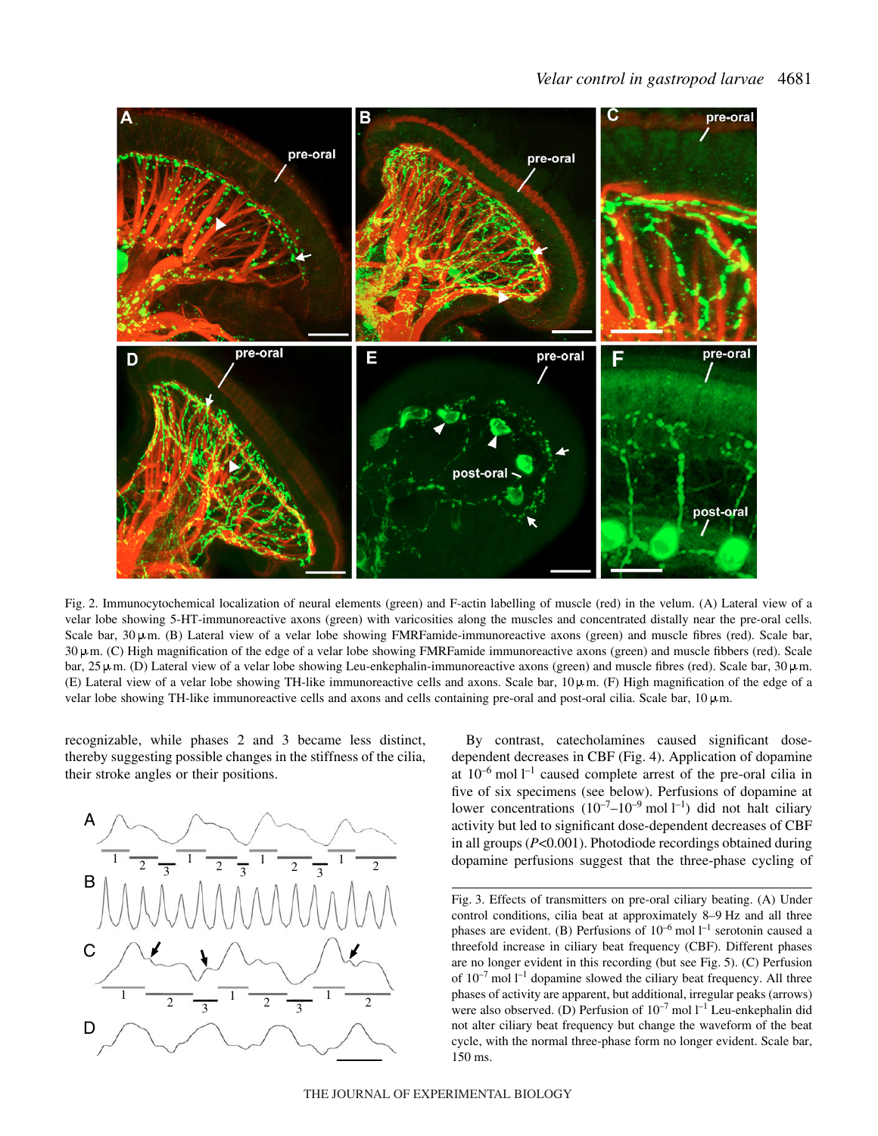

Fig. 2. Immunocytochemical localization of neural elements (green) and F-actin labelling of muscle (red) in the velum. (A) Lateral view of a velar lobe showing 5-HT-immunoreactive axons (green) with varicosities along the muscles and concentrated distally near the pre-oral cells. Scale bar,  $30 \mu$ m. (B) Lateral view of a velar lobe showing FMRFamide-immunoreactive axons (green) and muscle fibres (red). Scale bar,  $30 \mu$ m. (C) High magnification of the edge of a velar lobe showing FMRFamide immunoreactive axons (green) and muscle fibbers (red). Scale bar, 25  $\mu$ m. (D) Lateral view of a velar lobe showing Leu-enkephalin-immunoreactive axons (green) and muscle fibres (red). Scale bar, 30  $\mu$ m. (E) Lateral view of a velar lobe showing TH-like immunoreactive cells and axons. Scale bar,  $10 \mu$ m. (F) High magnification of the edge of a velar lobe showing TH-like immunoreactive cells and axons and cells containing pre-oral and post-oral cilia. Scale bar,  $10 \mu$ m.

recognizable, while phases 2 and 3 became less distinct, thereby suggesting possible changes in the stiffness of the cilia, their stroke angles or their positions.



By contrast, catecholamines caused significant dosedependent decreases in CBF (Fig. 4). Application of dopamine at  $10^{-6}$  mol  $l^{-1}$  caused complete arrest of the pre-oral cilia in five of six specimens (see below). Perfusions of dopamine at lower concentrations  $(10^{-7}-10^{-9} \text{ mol } l^{-1})$  did not halt ciliary activity but led to significant dose-dependent decreases of CBF in all groups (*P*<0.001). Photodiode recordings obtained during dopamine perfusions suggest that the three-phase cycling of

Fig. 3. Effects of transmitters on pre-oral ciliary beating. (A) Under control conditions, cilia beat at approximately 8-9 Hz and all three phases are evident. (B) Perfusions of  $10^{-6}$  mol  $l^{-1}$  serotonin caused a threefold increase in ciliary beat frequency (CBF). Different phases are no longer evident in this recording (but see Fig. 5). (C) Perfusion of  $10^{-7}$  mol  $1^{-1}$  dopamine slowed the ciliary beat frequency. All three phases of activity are apparent, but additional, irregular peaks (arrows) were also observed. (D) Perfusion of  $10^{-7}$  mol  $l^{-1}$  Leu-enkephalin did not alter ciliary beat frequency but change the waveform of the beat cycle, with the normal three-phase form no longer evident. Scale bar, 150 ms.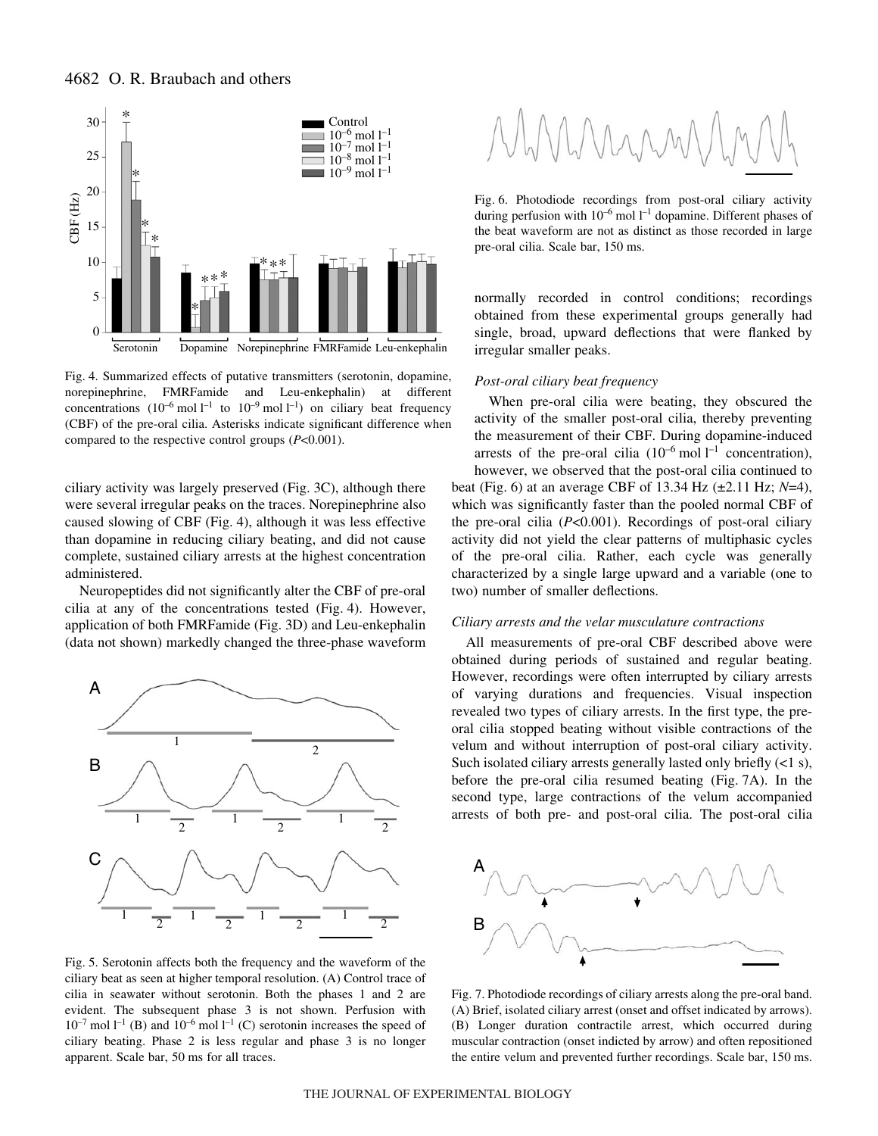

Fig. 4. Summarized effects of putative transmitters (serotonin, dopamine, norepinephrine, FMRFamide and Leu-enkephalin) at different concentrations  $(10^{-6} \text{ mol } l^{-1}$  to  $10^{-9} \text{ mol } l^{-1}$ ) on ciliary beat frequency (CBF) of the pre-oral cilia. Asterisks indicate significant difference when compared to the respective control groups (*P*<0.001).

ciliary activity was largely preserved (Fig. 3C), although there were several irregular peaks on the traces. Norepinephrine also caused slowing of CBF (Fig. 4), although it was less effective than dopamine in reducing ciliary beating, and did not cause complete, sustained ciliary arrests at the highest concentration administered.

Neuropeptides did not significantly alter the CBF of pre-oral cilia at any of the concentrations tested  $(Fig. 4)$ . However, application of both FMRFamide (Fig. 3D) and Leu-enkephalin (data not shown) markedly changed the three-phase waveform



Fig. 5. Serotonin affects both the frequency and the waveform of the ciliary beat as seen at higher temporal resolution. (A) Control trace of cilia in seawater without serotonin. Both the phases 1 and 2 are evident. The subsequent phase 3 is not shown. Perfusion with  $10^{-7}$  mol  $1^{-1}$  (B) and  $10^{-6}$  mol  $1^{-1}$  (C) serotonin increases the speed of ciliary beating. Phase 2 is less regular and phase 3 is no longer apparent. Scale bar, 50 ms for all traces.



Fig. 6. Photodiode recordings from post-oral ciliary activity during perfusion with  $10^{-6}$  mol  $l^{-1}$  dopamine. Different phases of the beat waveform are not as distinct as those recorded in large pre-oral cilia. Scale bar, 150 ms.

normally recorded in control conditions; recordings obtained from these experimental groups generally had single, broad, upward deflections that were flanked by irregular smaller peaks.

### *Post-oral ciliary beat frequency*

two) number of smaller deflections.

When pre-oral cilia were beating, they obscured the activity of the smaller post-oral cilia, thereby preventing the measurement of their CBF. During dopamine-induced arrests of the pre-oral cilia  $(10^{-6} \text{ mol } l^{-1}$  concentration), however, we observed that the post-oral cilia continued to beat (Fig. 6) at an average CBF of 13.34 Hz  $(\pm 2.11 \text{ Hz}; N=4)$ , which was significantly faster than the pooled normal CBF of the pre-oral cilia (*P*<0.001). Recordings of post-oral ciliary activity did not yield the clear patterns of multiphasic cycles of the pre-oral cilia. Rather, each cycle was generally

characterized by a single large upward and a variable (one to

### *Ciliary arrests and the velar musculature contractions*

All measurements of pre-oral CBF described above were obtained during periods of sustained and regular beating. However, recordings were often interrupted by ciliary arrests of varying durations and frequencies. Visual inspection revealed two types of ciliary arrests. In the first type, the preoral cilia stopped beating without visible contractions of the velum and without interruption of post-oral ciliary activity. Such isolated ciliary arrests generally lasted only briefly  $(<1 s)$ , before the pre-oral cilia resumed beating  $(Fig. 7A)$ . In the second type, large contractions of the velum accompanied arrests of both pre- and post-oral cilia. The post-oral cilia



Fig. 7. Photodiode recordings of ciliary arrests along the pre-oral band. (A) Brief, isolated ciliary arrest (onset and offset indicated by arrows). (B) Longer duration contractile arrest, which occurred during muscular contraction (onset indicted by arrow) and often repositioned the entire velum and prevented further recordings. Scale bar, 150 ms.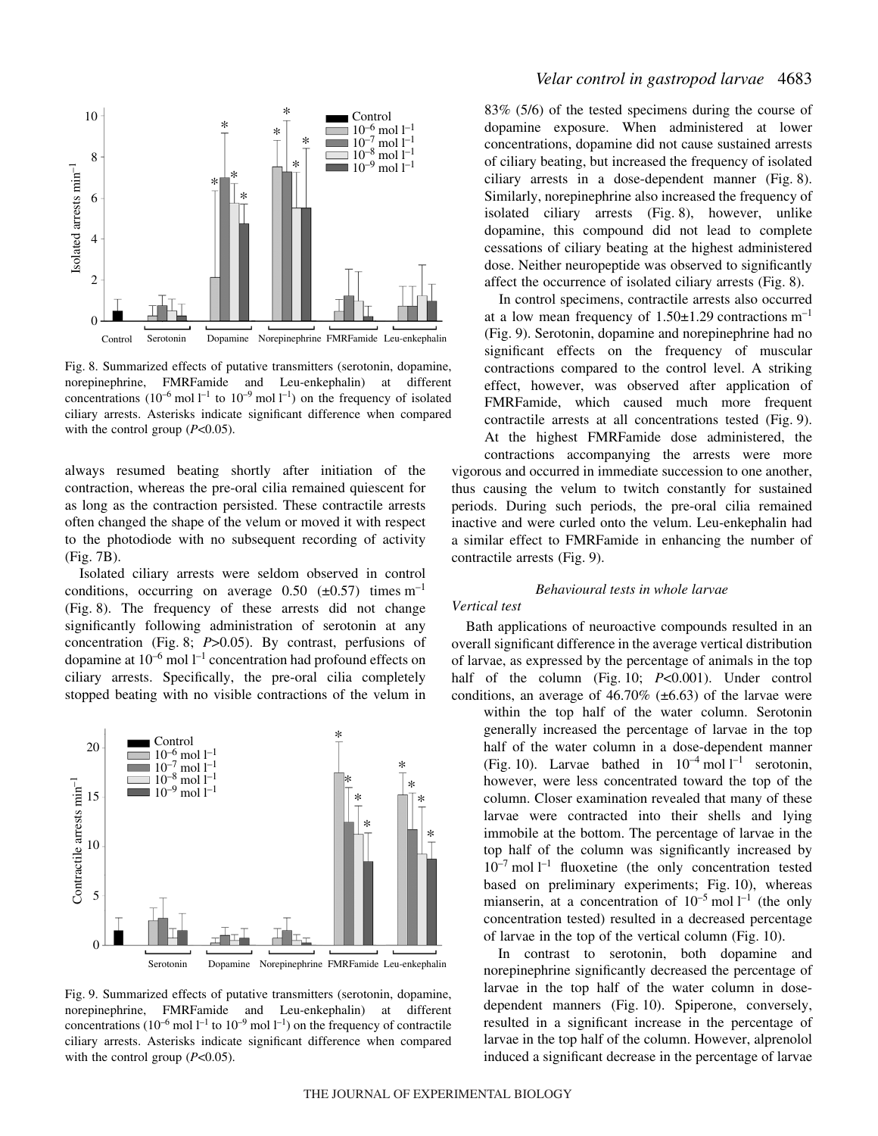

Fig. 8. Summarized effects of putative transmitters (serotonin, dopamine, norepinephrine, FMRFamide and Leu-enkephalin) at different concentrations  $(10^{-6} \text{ mol } l^{-1}$  to  $10^{-9} \text{ mol } l^{-1}$ ) on the frequency of isolated ciliary arrests. Asterisks indicate significant difference when compared with the control group ( $P<0.05$ ).

always resumed beating shortly after initiation of the contraction, whereas the pre-oral cilia remained quiescent for as long as the contraction persisted. These contractile arrests often changed the shape of the velum or moved it with respect to the photodiode with no subsequent recording of activity  $(Fig. 7B)$ .

Isolated ciliary arrests were seldom observed in control conditions, occurring on average 0.50  $(\pm 0.57)$  times m<sup>-1</sup> (Fig. 8). The frequency of these arrests did not change significantly following administration of serotonin at any concentration (Fig. 8; *P*>0.05). By contrast, perfusions of dopamine at  $10^{-6}$  mol  $1^{-1}$  concentration had profound effects on ciliary arrests. Specifically, the pre-oral cilia completely stopped beating with no visible contractions of the velum in



Fig. 9. Summarized effects of putative transmitters (serotonin, dopamine, norepinephrine, FMRFamide and Leu-enkephalin) at different concentrations ( $10^{-6}$  mol  $1^{-1}$  to  $10^{-9}$  mol  $1^{-1}$ ) on the frequency of contractile ciliary arrests. Asterisks indicate significant difference when compared with the control group (*P*<0.05).

## *Velar control in gastropod larvae* 4683

83% (5/6) of the tested specimens during the course of dopamine exposure. When administered at lower concentrations, dopamine did not cause sustained arrests of ciliary beating, but increased the frequency of isolated ciliary arrests in a dose-dependent manner (Fig. 8). Similarly, norepinephrine also increased the frequency of isolated ciliary arrests (Fig. 8), however, unlike dopamine, this compound did not lead to complete cessations of ciliary beating at the highest administered dose. Neither neuropeptide was observed to significantly affect the occurrence of isolated ciliary arrests (Fig. 8).

In control specimens, contractile arrests also occurred at a low mean frequency of  $1.50\pm1.29$  contractions m<sup>-1</sup> (Fig. 9). Serotonin, dopamine and norepinephrine had no significant effects on the frequency of muscular contractions compared to the control level. A striking effect, however, was observed after application of FMRFamide, which caused much more frequent contractile arrests at all concentrations tested (Fig. 9). At the highest FMRFamide dose administered, the contractions accompanying the arrests were more vigorous and occurred in immediate succession to one another, thus causing the velum to twitch constantly for sustained periods. During such periods, the pre-oral cilia remained inactive and were curled onto the velum. Leu-enkephalin had a similar effect to FMRFamide in enhancing the number of contractile arrests (Fig. 9).

## *Behavioural tests in whole larvae*

### *Vertical test*

Bath applications of neuroactive compounds resulted in an overall significant difference in the average vertical distribution of larvae, as expressed by the percentage of animals in the top half of the column (Fig. 10; *P*<0.001). Under control conditions, an average of 46.70% ( $\pm$ 6.63) of the larvae were within the top half of the water column. Serotonin

generally increased the percentage of larvae in the top half of the water column in a dose-dependent manner (Fig. 10). Larvae bathed in  $10^{-4}$  mol  $l^{-1}$  serotonin, however, were less concentrated toward the top of the column. Closer examination revealed that many of these larvae were contracted into their shells and lying immobile at the bottom. The percentage of larvae in the top half of the column was significantly increased by  $10^{-7}$  mol  $1^{-1}$  fluoxetine (the only concentration tested based on preliminary experiments; Fig.  $10$ ), whereas mianserin, at a concentration of  $10^{-5}$  mol  $l^{-1}$  (the only concentration tested) resulted in a decreased percentage of larvae in the top of the vertical column (Fig. 10).

In contrast to serotonin, both dopamine and norepinephrine significantly decreased the percentage of larvae in the top half of the water column in dosedependent manners (Fig. 10). Spiperone, conversely, resulted in a significant increase in the percentage of larvae in the top half of the column. However, alprenolol induced a significant decrease in the percentage of larvae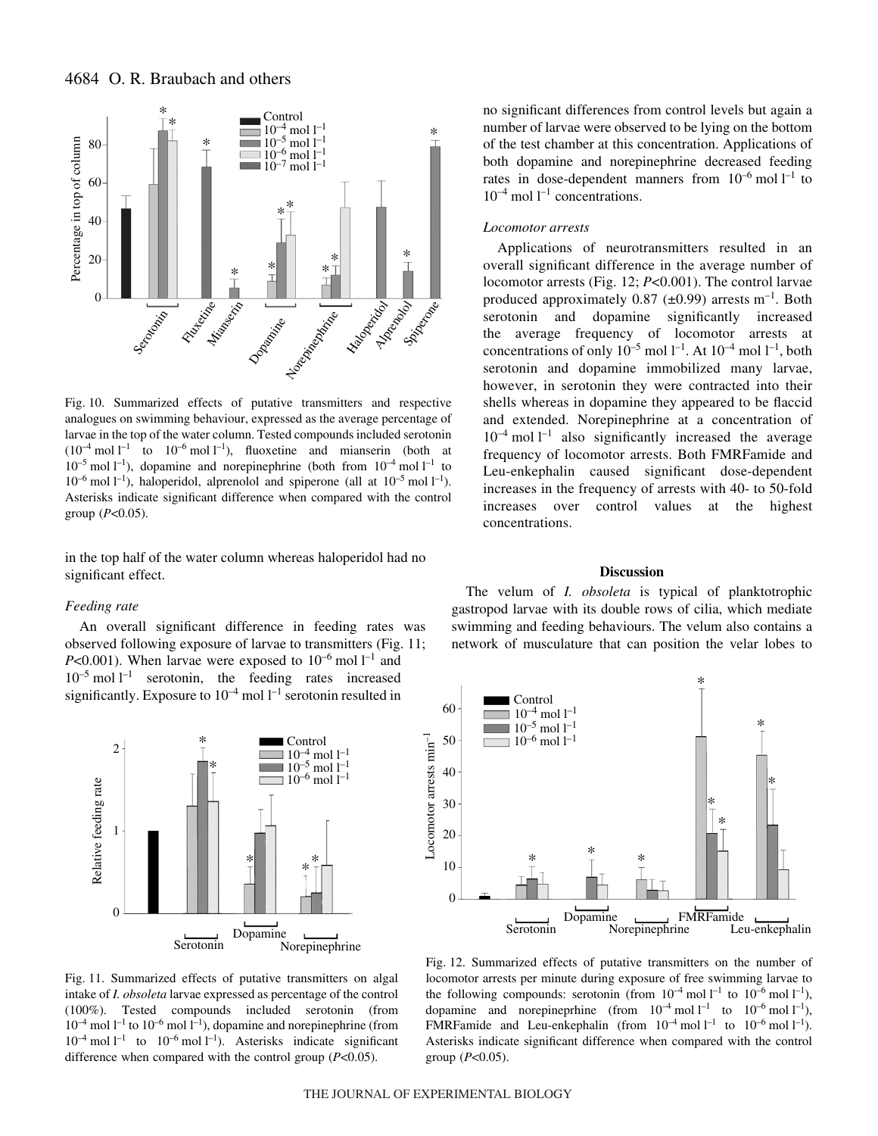

Fig. 10. Summarized effects of putative transmitters and respective analogues on swimming behaviour, expressed as the average percentage of larvae in the top of the water column. Tested compounds included serotonin  $(10^{-4} \text{ mol } l^{-1}$  to  $10^{-6} \text{ mol } l^{-1}$ ), fluoxetine and mianserin (both at  $10^{-5}$  mol  $1^{-1}$ ), dopamine and norepinephrine (both from  $10^{-4}$  mol  $1^{-1}$  to  $10^{-6}$  mol  $1^{-1}$ ), haloperidol, alprenolol and spiperone (all at  $10^{-5}$  mol  $1^{-1}$ ). Asterisks indicate significant difference when compared with the control group (*P*<0.05).

in the top half of the water column whereas haloperidol had no significant effect.

### *Feeding rate*

An overall significant difference in feeding rates was observed following exposure of larvae to transmitters (Fig. 11; *P*<0.001). When larvae were exposed to  $10^{-6}$  mol  $1^{-1}$  and  $10^{-5}$  mol  $l^{-1}$  serotonin, the feeding rates increased significantly. Exposure to  $10^{-4}$  mol  $1^{-1}$  serotonin resulted in



Fig. 11. Summarized effects of putative transmitters on algal intake of *I. obsoleta* larvae expressed as percentage of the control (100%). Tested compounds included serotonin (from  $10^{-4}$  mol  $1^{-1}$  to  $10^{-6}$  mol  $1^{-1}$ ), dopamine and norepinephrine (from  $10^{-4}$  mol  $l^{-1}$  to  $10^{-6}$  mol  $l^{-1}$ ). Asterisks indicate significant difference when compared with the control group (*P*<0.05).

no significant differences from control levels but again a number of larvae were observed to be lying on the bottom of the test chamber at this concentration. Applications of both dopamine and norepinephrine decreased feeding rates in dose-dependent manners from  $10^{-6}$  mol  $l^{-1}$  to  $10^{-4}$  mol  $l^{-1}$  concentrations.

### *Locomotor arrests*

Applications of neurotransmitters resulted in an overall significant difference in the average number of locomotor arrests (Fig. 12; *P*<0.001). The control larvae produced approximately 0.87 ( $\pm$ 0.99) arrests m<sup>-1</sup>. Both serotonin and dopamine significantly increased the average frequency of locomotor arrests at concentrations of only  $10^{-5}$  mol  $1^{-1}$ . At  $10^{-4}$  mol  $1^{-1}$ , both serotonin and dopamine immobilized many larvae, however, in serotonin they were contracted into their shells whereas in dopamine they appeared to be flaccid and extended. Norepinephrine at a concentration of  $10^{-4}$  mol  $l^{-1}$  also significantly increased the average frequency of locomotor arrests. Both FMRFamide and Leu-enkephalin caused significant dose-dependent increases in the frequency of arrests with 40- to 50-fold increases over control values at the highest concentrations.

## **Discussion**

The velum of *I. obsoleta* is typical of planktotrophic gastropod larvae with its double rows of cilia, which mediate swimming and feeding behaviours. The velum also contains a network of musculature that can position the velar lobes to



Fig. 12. Summarized effects of putative transmitters on the number of locomotor arrests per minute during exposure of free swimming larvae to the following compounds: serotonin (from  $10^{-4}$  mol  $l^{-1}$  to  $10^{-6}$  mol  $l^{-1}$ ), dopamine and norepineprhine (from  $10^{-4}$  mol  $l^{-1}$  to  $10^{-6}$  mol  $l^{-1}$ ), FMRFamide and Leu-enkephalin (from  $10^{-4}$  mol  $l^{-1}$  to  $10^{-6}$  mol  $l^{-1}$ ). Asterisks indicate significant difference when compared with the control group (*P*<0.05).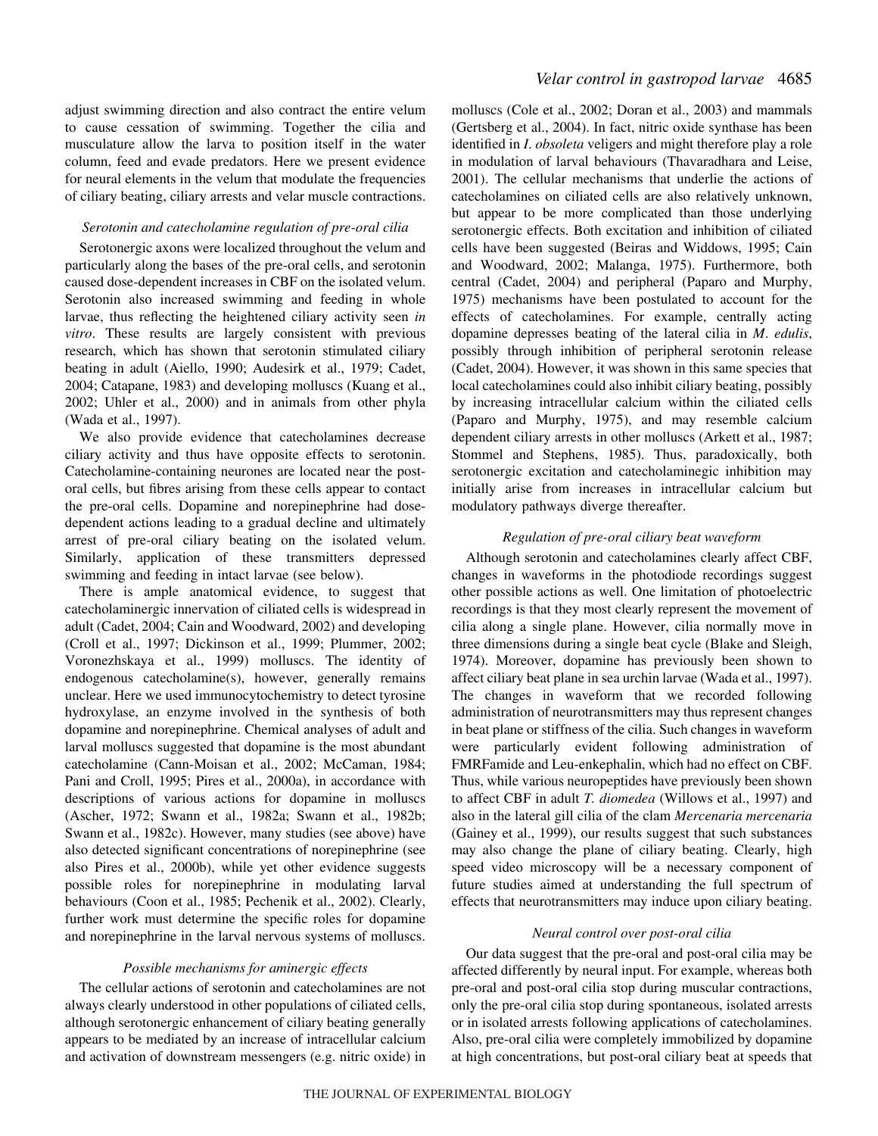adjust swimming direction and also contract the entire velum to cause cessation of swimming. Together the cilia and musculature allow the larva to position itself in the water column, feed and evade predators. Here we present evidence for neural elements in the velum that modulate the frequencies of ciliary beating, ciliary arrests and velar muscle contractions.

## *Serotonin and catecholamine regulation of pre-oral cilia*

Serotonergic axons were localized throughout the velum and particularly along the bases of the pre-oral cells, and serotonin caused dose-dependent increases in CBF on the isolated velum. Serotonin also increased swimming and feeding in whole larvae, thus reflecting the heightened ciliary activity seen *in vitro*. These results are largely consistent with previous research, which has shown that serotonin stimulated ciliary beating in adult (Aiello, 1990; Audesirk et al., 1979; Cadet, 2004; Catapane, 1983) and developing molluscs (Kuang et al., 2002; Uhler et al., 2000) and in animals from other phyla (Wada et al., 1997).

We also provide evidence that catecholamines decrease ciliary activity and thus have opposite effects to serotonin. Catecholamine-containing neurones are located near the postoral cells, but fibres arising from these cells appear to contact the pre-oral cells. Dopamine and norepinephrine had dosedependent actions leading to a gradual decline and ultimately arrest of pre-oral ciliary beating on the isolated velum. Similarly, application of these transmitters depressed swimming and feeding in intact larvae (see below).

There is ample anatomical evidence, to suggest that catecholaminergic innervation of ciliated cells is widespread in adult (Cadet, 2004; Cain and Woodward, 2002) and developing (Croll et al., 1997; Dickinson et al., 1999; Plummer, 2002; Voronezhskaya et al., 1999) molluscs. The identity of endogenous catecholamine(s), however, generally remains unclear. Here we used immunocytochemistry to detect tyrosine hydroxylase, an enzyme involved in the synthesis of both dopamine and norepinephrine. Chemical analyses of adult and larval molluscs suggested that dopamine is the most abundant catecholamine (Cann-Moisan et al., 2002; McCaman, 1984; Pani and Croll, 1995; Pires et al., 2000a), in accordance with descriptions of various actions for dopamine in molluscs (Ascher, 1972; Swann et al., 1982a; Swann et al., 1982b; Swann et al., 1982c). However, many studies (see above) have also detected significant concentrations of norepinephrine (see also Pires et al., 2000b), while yet other evidence suggests possible roles for norepinephrine in modulating larval behaviours (Coon et al., 1985; Pechenik et al., 2002). Clearly, further work must determine the specific roles for dopamine and norepinephrine in the larval nervous systems of molluscs.

#### *Possible mechanisms for aminergic effects*

The cellular actions of serotonin and catecholamines are not always clearly understood in other populations of ciliated cells, although serotonergic enhancement of ciliary beating generally appears to be mediated by an increase of intracellular calcium and activation of downstream messengers (e.g. nitric oxide) in molluscs (Cole et al., 2002; Doran et al., 2003) and mammals (Gertsberg et al., 2004). In fact, nitric oxide synthase has been identified in *I*. *obsoleta* veligers and might therefore play a role in modulation of larval behaviours (Thavaradhara and Leise, 2001). The cellular mechanisms that underlie the actions of catecholamines on ciliated cells are also relatively unknown, but appear to be more complicated than those underlying serotonergic effects. Both excitation and inhibition of ciliated cells have been suggested (Beiras and Widdows, 1995; Cain and Woodward, 2002; Malanga, 1975). Furthermore, both central (Cadet, 2004) and peripheral (Paparo and Murphy, 1975) mechanisms have been postulated to account for the effects of catecholamines. For example, centrally acting dopamine depresses beating of the lateral cilia in *M*. *edulis*, possibly through inhibition of peripheral serotonin release (Cadet, 2004). However, it was shown in this same species that local catecholamines could also inhibit ciliary beating, possibly by increasing intracellular calcium within the ciliated cells (Paparo and Murphy, 1975), and may resemble calcium dependent ciliary arrests in other molluscs (Arkett et al., 1987; Stommel and Stephens, 1985). Thus, paradoxically, both serotonergic excitation and catecholaminegic inhibition may initially arise from increases in intracellular calcium but modulatory pathways diverge thereafter.

## *Regulation of pre-oral ciliary beat waveform*

Although serotonin and catecholamines clearly affect CBF, changes in waveforms in the photodiode recordings suggest other possible actions as well. One limitation of photoelectric recordings is that they most clearly represent the movement of cilia along a single plane. However, cilia normally move in three dimensions during a single beat cycle (Blake and Sleigh, 1974). Moreover, dopamine has previously been shown to affect ciliary beat plane in sea urchin larvae (Wada et al., 1997). The changes in waveform that we recorded following administration of neurotransmitters may thus represent changes in beat plane or stiffness of the cilia. Such changes in waveform were particularly evident following administration of FMRFamide and Leu-enkephalin, which had no effect on CBF. Thus, while various neuropeptides have previously been shown to affect CBF in adult *T. diomedea* (Willows et al., 1997) and also in the lateral gill cilia of the clam *Mercenaria mercenaria* (Gainey et al., 1999), our results suggest that such substances may also change the plane of ciliary beating. Clearly, high speed video microscopy will be a necessary component of future studies aimed at understanding the full spectrum of effects that neurotransmitters may induce upon ciliary beating.

### *Neural control over post-oral cilia*

Our data suggest that the pre-oral and post-oral cilia may be affected differently by neural input. For example, whereas both pre-oral and post-oral cilia stop during muscular contractions, only the pre-oral cilia stop during spontaneous, isolated arrests or in isolated arrests following applications of catecholamines. Also, pre-oral cilia were completely immobilized by dopamine at high concentrations, but post-oral ciliary beat at speeds that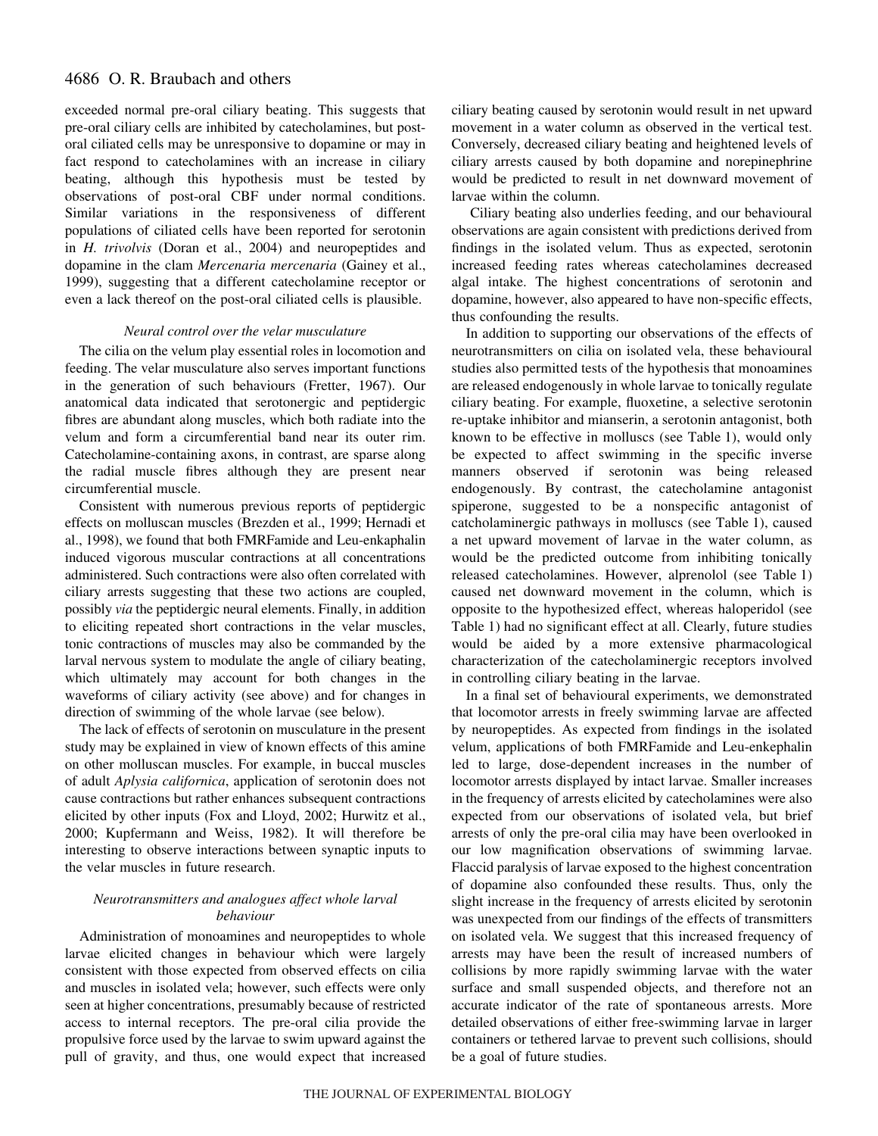exceeded normal pre-oral ciliary beating. This suggests that pre-oral ciliary cells are inhibited by catecholamines, but postoral ciliated cells may be unresponsive to dopamine or may in fact respond to catecholamines with an increase in ciliary beating, although this hypothesis must be tested by observations of post-oral CBF under normal conditions. Similar variations in the responsiveness of different populations of ciliated cells have been reported for serotonin in *H. trivolvis* (Doran et al., 2004) and neuropeptides and dopamine in the clam *Mercenaria mercenaria* (Gainey et al., 1999), suggesting that a different catecholamine receptor or even a lack thereof on the post-oral ciliated cells is plausible.

## *Neural control over the velar musculature*

The cilia on the velum play essential roles in locomotion and feeding. The velar musculature also serves important functions in the generation of such behaviours (Fretter, 1967). Our anatomical data indicated that serotonergic and peptidergic fibres are abundant along muscles, which both radiate into the velum and form a circumferential band near its outer rim. Catecholamine-containing axons, in contrast, are sparse along the radial muscle fibres although they are present near circumferential muscle.

Consistent with numerous previous reports of peptidergic effects on molluscan muscles (Brezden et al., 1999; Hernadi et al., 1998), we found that both FMRFamide and Leu-enkaphalin induced vigorous muscular contractions at all concentrations administered. Such contractions were also often correlated with ciliary arrests suggesting that these two actions are coupled, possibly *via* the peptidergic neural elements. Finally, in addition to eliciting repeated short contractions in the velar muscles, tonic contractions of muscles may also be commanded by the larval nervous system to modulate the angle of ciliary beating, which ultimately may account for both changes in the waveforms of ciliary activity (see above) and for changes in direction of swimming of the whole larvae (see below).

The lack of effects of serotonin on musculature in the present study may be explained in view of known effects of this amine on other molluscan muscles. For example, in buccal muscles of adult *Aplysia californica*, application of serotonin does not cause contractions but rather enhances subsequent contractions elicited by other inputs (Fox and Lloyd, 2002; Hurwitz et al., 2000; Kupfermann and Weiss, 1982). It will therefore be interesting to observe interactions between synaptic inputs to the velar muscles in future research.

## *Neurotransmitters and analogues affect whole larval behaviour*

Administration of monoamines and neuropeptides to whole larvae elicited changes in behaviour which were largely consistent with those expected from observed effects on cilia and muscles in isolated vela; however, such effects were only seen at higher concentrations, presumably because of restricted access to internal receptors. The pre-oral cilia provide the propulsive force used by the larvae to swim upward against the pull of gravity, and thus, one would expect that increased ciliary beating caused by serotonin would result in net upward movement in a water column as observed in the vertical test. Conversely, decreased ciliary beating and heightened levels of ciliary arrests caused by both dopamine and norepinephrine would be predicted to result in net downward movement of larvae within the column.

Ciliary beating also underlies feeding, and our behavioural observations are again consistent with predictions derived from findings in the isolated velum. Thus as expected, serotonin increased feeding rates whereas catecholamines decreased algal intake. The highest concentrations of serotonin and dopamine, however, also appeared to have non-specific effects, thus confounding the results.

In addition to supporting our observations of the effects of neurotransmitters on cilia on isolated vela, these behavioural studies also permitted tests of the hypothesis that monoamines are released endogenously in whole larvae to tonically regulate ciliary beating. For example, fluoxetine, a selective serotonin re-uptake inhibitor and mianserin, a serotonin antagonist, both known to be effective in molluscs (see Table 1), would only be expected to affect swimming in the specific inverse manners observed if serotonin was being released endogenously. By contrast, the catecholamine antagonist spiperone, suggested to be a nonspecific antagonist of catcholaminergic pathways in molluscs (see Table 1), caused a net upward movement of larvae in the water column, as would be the predicted outcome from inhibiting tonically released catecholamines. However, alprenolol (see Table 1) caused net downward movement in the column, which is opposite to the hypothesized effect, whereas haloperidol (see Table 1) had no significant effect at all. Clearly, future studies would be aided by a more extensive pharmacological characterization of the catecholaminergic receptors involved in controlling ciliary beating in the larvae.

In a final set of behavioural experiments, we demonstrated that locomotor arrests in freely swimming larvae are affected by neuropeptides. As expected from findings in the isolated velum, applications of both FMRFamide and Leu-enkephalin led to large, dose-dependent increases in the number of locomotor arrests displayed by intact larvae. Smaller increases in the frequency of arrests elicited by catecholamines were also expected from our observations of isolated vela, but brief arrests of only the pre-oral cilia may have been overlooked in our low magnification observations of swimming larvae. Flaccid paralysis of larvae exposed to the highest concentration of dopamine also confounded these results. Thus, only the slight increase in the frequency of arrests elicited by serotonin was unexpected from our findings of the effects of transmitters on isolated vela. We suggest that this increased frequency of arrests may have been the result of increased numbers of collisions by more rapidly swimming larvae with the water surface and small suspended objects, and therefore not an accurate indicator of the rate of spontaneous arrests. More detailed observations of either free-swimming larvae in larger containers or tethered larvae to prevent such collisions, should be a goal of future studies.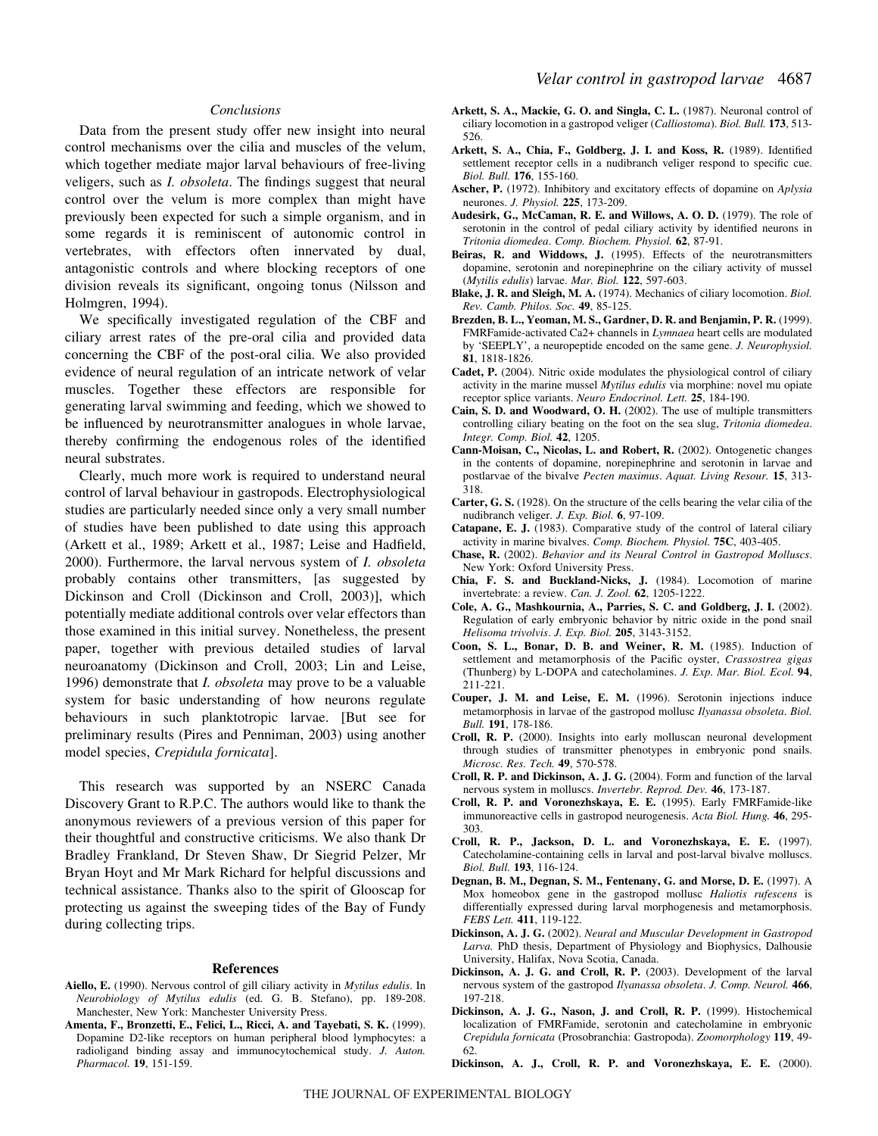## *Conclusions*

Data from the present study offer new insight into neural control mechanisms over the cilia and muscles of the velum, which together mediate major larval behaviours of free-living veligers, such as *I. obsoleta*. The findings suggest that neural control over the velum is more complex than might have previously been expected for such a simple organism, and in some regards it is reminiscent of autonomic control in vertebrates, with effectors often innervated by dual, antagonistic controls and where blocking receptors of one division reveals its significant, ongoing tonus (Nilsson and Holmgren, 1994).

We specifically investigated regulation of the CBF and ciliary arrest rates of the pre-oral cilia and provided data concerning the CBF of the post-oral cilia. We also provided evidence of neural regulation of an intricate network of velar muscles. Together these effectors are responsible for generating larval swimming and feeding, which we showed to be influenced by neurotransmitter analogues in whole larvae, thereby confirming the endogenous roles of the identified neural substrates.

Clearly, much more work is required to understand neural control of larval behaviour in gastropods. Electrophysiological studies are particularly needed since only a very small number of studies have been published to date using this approach (Arkett et al., 1989; Arkett et al., 1987; Leise and Hadfield, 2000). Furthermore, the larval nervous system of *I. obsoleta* probably contains other transmitters, [as suggested by Dickinson and Croll (Dickinson and Croll, 2003)], which potentially mediate additional controls over velar effectors than those examined in this initial survey. Nonetheless, the present paper, together with previous detailed studies of larval neuroanatomy (Dickinson and Croll, 2003; Lin and Leise, 1996) demonstrate that *I. obsoleta* may prove to be a valuable system for basic understanding of how neurons regulate behaviours in such planktotropic larvae. [But see for preliminary results (Pires and Penniman, 2003) using another model species, *Crepidula fornicata*].

This research was supported by an NSERC Canada Discovery Grant to R.P.C. The authors would like to thank the anonymous reviewers of a previous version of this paper for their thoughtful and constructive criticisms. We also thank Dr Bradley Frankland, Dr Steven Shaw, Dr Siegrid Pelzer, Mr Bryan Hoyt and Mr Mark Richard for helpful discussions and technical assistance. Thanks also to the spirit of Glooscap for protecting us against the sweeping tides of the Bay of Fundy during collecting trips.

#### **References**

- **Aiello, E.** (1990). Nervous control of gill ciliary activity in *Mytilus edulis*. In *Neurobiology of Mytilus edulis* (ed. G. B. Stefano), pp. 189-208. Manchester, New York: Manchester University Press.
- **Amenta, F., Bronzetti, E., Felici, L., Ricci, A. and Tayebati, S. K.** (1999). Dopamine D2-like receptors on human peripheral blood lymphocytes: a radioligand binding assay and immunocytochemical study. *J. Auton. Pharmacol.* **19**, 151-159.
- **Arkett, S. A., Mackie, G. O. and Singla, C. L.** (1987). Neuronal control of ciliary locomotion in a gastropod veliger (*Calliostoma*). *Biol. Bull.* **173**, 513- 526.
- **Arkett, S. A., Chia, F., Goldberg, J. I. and Koss, R.** (1989). Identified settlement receptor cells in a nudibranch veliger respond to specific cue. *Biol. Bull.* **176**, 155-160.
- **Ascher, P.** (1972). Inhibitory and excitatory effects of dopamine on *Aplysia* neurones. *J. Physiol.* **225**, 173-209.
- **Audesirk, G., McCaman, R. E. and Willows, A. O. D.** (1979). The role of serotonin in the control of pedal ciliary activity by identified neurons in *Tritonia diomedea*. *Comp. Biochem. Physiol.* **62**, 87-91.
- **Beiras, R. and Widdows, J.** (1995). Effects of the neurotransmitters dopamine, serotonin and norepinephrine on the ciliary activity of mussel (*Mytilis edulis*) larvae. *Mar. Biol.* **122**, 597-603.
- **Blake, J. R. and Sleigh, M. A.** (1974). Mechanics of ciliary locomotion. *Biol. Rev. Camb. Philos. Soc.* **49**, 85-125.
- **Brezden, B. L., Yeoman, M. S., Gardner, D. R. and Benjamin, P. R.** (1999). FMRFamide-activated Ca2+ channels in *Lymnaea* heart cells are modulated by 'SEEPLY', a neuropeptide encoded on the same gene. *J. Neurophysiol.* **81**, 1818-1826.
- **Cadet, P.** (2004). Nitric oxide modulates the physiological control of ciliary activity in the marine mussel *Mytilus edulis* via morphine: novel mu opiate receptor splice variants. *Neuro Endocrinol. Lett.* **25**, 184-190.
- **Cain, S. D. and Woodward, O. H.** (2002). The use of multiple transmitters controlling ciliary beating on the foot on the sea slug, *Tritonia diomedea*. *Integr. Comp. Biol.* **42**, 1205.
- **Cann-Moisan, C., Nicolas, L. and Robert, R.** (2002). Ontogenetic changes in the contents of dopamine, norepinephrine and serotonin in larvae and postlarvae of the bivalve *Pecten maximus*. *Aquat. Living Resour.* **15**, 313- 318.
- **Carter, G. S.** (1928). On the structure of the cells bearing the velar cilia of the nudibranch veliger. *J. Exp. Biol.* **6**, 97-109.
- **Catapane, E. J.** (1983). Comparative study of the control of lateral ciliary activity in marine bivalves. *Comp. Biochem. Physiol.* **75C**, 403-405.
- **Chase, R.** (2002). *Behavior and its Neural Control in Gastropod Molluscs*. New York: Oxford University Press.
- **Chia, F. S. and Buckland-Nicks, J.** (1984). Locomotion of marine invertebrate: a review. *Can. J. Zool.* **62**, 1205-1222.
- **Cole, A. G., Mashkournia, A., Parries, S. C. and Goldberg, J. I.** (2002). Regulation of early embryonic behavior by nitric oxide in the pond snail *Helisoma trivolvis*. *J. Exp. Biol.* **205**, 3143-3152.
- **Coon, S. L., Bonar, D. B. and Weiner, R. M.** (1985). Induction of settlement and metamorphosis of the Pacific oyster, *Crassostrea gigas* (Thunberg) by L-DOPA and catecholamines. *J. Exp. Mar. Biol. Ecol.* **94**, 211-221.
- **Couper, J. M. and Leise, E. M.** (1996). Serotonin injections induce metamorphosis in larvae of the gastropod mollusc *Ilyanassa obsoleta*. *Biol. Bull.* **191**, 178-186.
- **Croll, R. P.** (2000). Insights into early molluscan neuronal development through studies of transmitter phenotypes in embryonic pond snails. *Microsc. Res. Tech.* **49**, 570-578.
- **Croll, R. P. and Dickinson, A. J. G.** (2004). Form and function of the larval nervous system in molluscs. *Invertebr. Reprod. Dev.* **46**, 173-187.
- **Croll, R. P. and Voronezhskaya, E. E.** (1995). Early FMRFamide-like immunoreactive cells in gastropod neurogenesis. *Acta Biol. Hung.* **46**, 295- 303.
- **Croll, R. P., Jackson, D. L. and Voronezhskaya, E. E.** (1997). Catecholamine-containing cells in larval and post-larval bivalve molluscs. *Biol. Bull.* **193**, 116-124.
- **Degnan, B. M., Degnan, S. M., Fentenany, G. and Morse, D. E.** (1997). A Mox homeobox gene in the gastropod mollusc *Haliotis rufescens* is differentially expressed during larval morphogenesis and metamorphosis. *FEBS Lett.* **411**, 119-122.
- **Dickinson, A. J. G.** (2002). *Neural and Muscular Development in Gastropod Larva.* PhD thesis, Department of Physiology and Biophysics, Dalhousie University, Halifax, Nova Scotia, Canada.
- **Dickinson, A. J. G. and Croll, R. P.** (2003). Development of the larval nervous system of the gastropod *Ilyanassa obsoleta*. *J. Comp. Neurol.* **466**, 197-218.
- **Dickinson, A. J. G., Nason, J. and Croll, R. P.** (1999). Histochemical localization of FMRFamide, serotonin and catecholamine in embryonic *Crepidula fornicata* (Prosobranchia: Gastropoda). *Zoomorphology* **119**, 49- 62.
- **Dickinson, A. J., Croll, R. P. and Voronezhskaya, E. E.** (2000).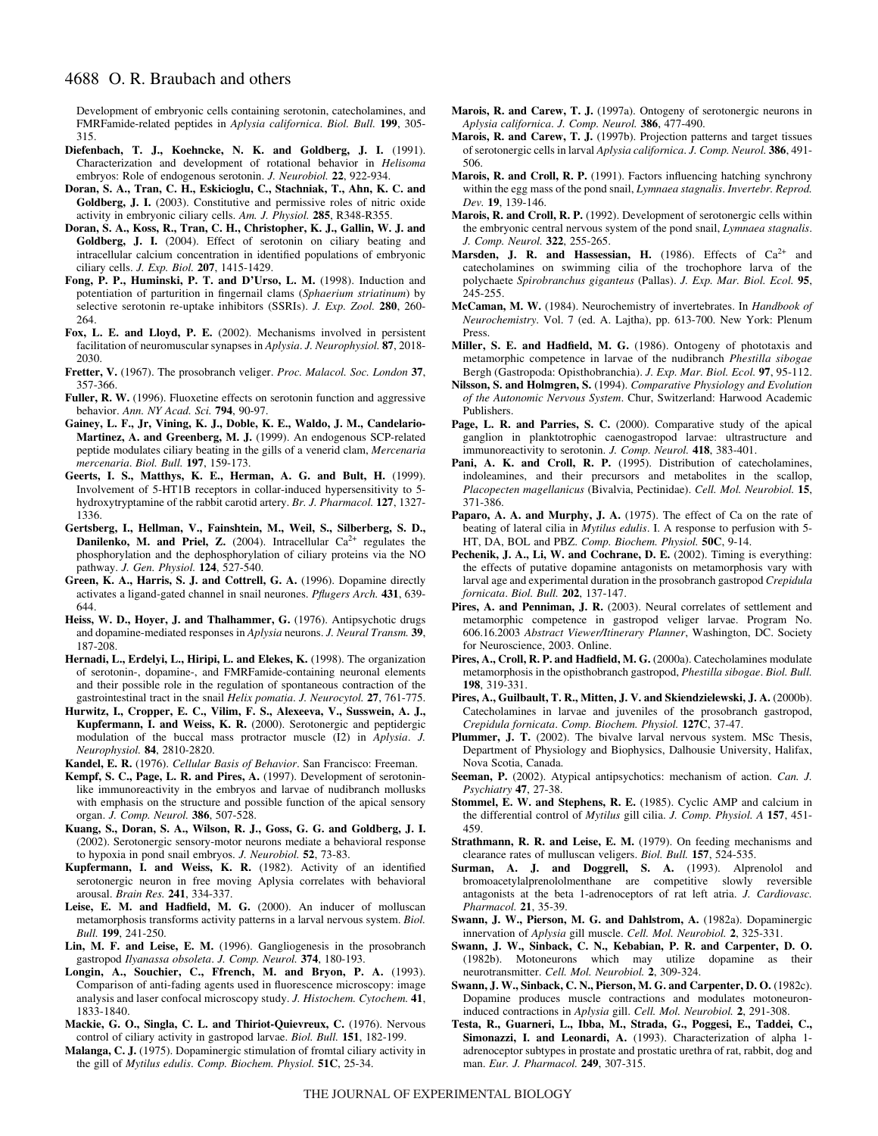Development of embryonic cells containing serotonin, catecholamines, and FMRFamide-related peptides in *Aplysia californica*. *Biol. Bull.* **199**, 305- 315.

- **Diefenbach, T. J., Koehncke, N. K. and Goldberg, J. I.** (1991). Characterization and development of rotational behavior in *Helisoma* embryos: Role of endogenous serotonin. *J. Neurobiol.* **22**, 922-934.
- **Doran, S. A., Tran, C. H., Eskicioglu, C., Stachniak, T., Ahn, K. C. and Goldberg, J. I.** (2003). Constitutive and permissive roles of nitric oxide activity in embryonic ciliary cells. *Am. J. Physiol.* **285**, R348-R355.
- **Doran, S. A., Koss, R., Tran, C. H., Christopher, K. J., Gallin, W. J. and Goldberg, J. I.** (2004). Effect of serotonin on ciliary beating and intracellular calcium concentration in identified populations of embryonic ciliary cells. *J. Exp. Biol.* **207**, 1415-1429.
- **Fong, P. P., Huminski, P. T. and D'Urso, L. M.** (1998). Induction and potentiation of parturition in fingernail clams (*Sphaerium striatinum*) by selective serotonin re-uptake inhibitors (SSRIs). *J. Exp. Zool.* **280**, 260- 264.
- **Fox, L. E. and Lloyd, P. E.** (2002). Mechanisms involved in persistent facilitation of neuromuscular synapses in *Aplysia*. *J. Neurophysiol.* **87**, 2018- 2030.
- **Fretter, V.** (1967). The prosobranch veliger. *Proc. Malacol. Soc. London* **37**, 357-366.
- **Fuller, R. W.** (1996). Fluoxetine effects on serotonin function and aggressive behavior. *Ann. NY Acad. Sci.* **794**, 90-97.
- **Gainey, L. F., Jr, Vining, K. J., Doble, K. E., Waldo, J. M., Candelario-Martinez, A. and Greenberg, M. J.** (1999). An endogenous SCP-related peptide modulates ciliary beating in the gills of a venerid clam, *Mercenaria mercenaria*. *Biol. Bull.* **197**, 159-173.
- **Geerts, I. S., Matthys, K. E., Herman, A. G. and Bult, H.** (1999). Involvement of 5-HT1B receptors in collar-induced hypersensitivity to 5 hydroxytryptamine of the rabbit carotid artery. *Br. J. Pharmacol.* **127**, 1327- 1336.
- **Gertsberg, I., Hellman, V., Fainshtein, M., Weil, S., Silberberg, S. D., Danilenko, M. and Priel, Z.** (2004). Intracellular  $Ca^{2+}$  regulates the phosphorylation and the dephosphorylation of ciliary proteins via the NO pathway. *J. Gen. Physiol.* **124**, 527-540.
- **Green, K. A., Harris, S. J. and Cottrell, G. A.** (1996). Dopamine directly activates a ligand-gated channel in snail neurones. *Pflugers Arch.* **431**, 639- 644.
- **Heiss, W. D., Hoyer, J. and Thalhammer, G.** (1976). Antipsychotic drugs and dopamine-mediated responses in *Aplysia* neurons. *J. Neural Transm.* **39**, 187-208.
- **Hernadi, L., Erdelyi, L., Hiripi, L. and Elekes, K.** (1998). The organization of serotonin-, dopamine-, and FMRFamide-containing neuronal elements and their possible role in the regulation of spontaneous contraction of the gastrointestinal tract in the snail *Helix pomatia*. *J. Neurocytol.* **27**, 761-775.
- **Hurwitz, I., Cropper, E. C., Vilim, F. S., Alexeeva, V., Susswein, A. J., Kupfermann, I. and Weiss, K. R.** (2000). Serotonergic and peptidergic modulation of the buccal mass protractor muscle (I2) in *Aplysia*. *J. Neurophysiol.* **84**, 2810-2820.
- **Kandel, E. R.** (1976). *Cellular Basis of Behavior*. San Francisco: Freeman.
- **Kempf, S. C., Page, L. R. and Pires, A.** (1997). Development of serotoninlike immunoreactivity in the embryos and larvae of nudibranch mollusks with emphasis on the structure and possible function of the apical sensory organ. *J. Comp. Neurol.* **386**, 507-528.
- **Kuang, S., Doran, S. A., Wilson, R. J., Goss, G. G. and Goldberg, J. I.** (2002). Serotonergic sensory-motor neurons mediate a behavioral response to hypoxia in pond snail embryos. *J. Neurobiol.* **52**, 73-83.
- **Kupfermann, I. and Weiss, K. R.** (1982). Activity of an identified serotonergic neuron in free moving Aplysia correlates with behavioral arousal. *Brain Res.* **241**, 334-337.
- **Leise, E. M. and Hadfield, M. G.** (2000). An inducer of molluscan metamorphosis transforms activity patterns in a larval nervous system. *Biol. Bull.* **199**, 241-250.
- **Lin, M. F. and Leise, E. M.** (1996). Gangliogenesis in the prosobranch gastropod *Ilyanassa obsoleta*. *J. Comp. Neurol.* **374**, 180-193.
- **Longin, A., Souchier, C., Ffrench, M. and Bryon, P. A.** (1993). Comparison of anti-fading agents used in fluorescence microscopy: image analysis and laser confocal microscopy study. *J. Histochem. Cytochem.* **41**, 1833-1840.
- **Mackie, G. O., Singla, C. L. and Thiriot-Quievreux, C.** (1976). Nervous control of ciliary activity in gastropod larvae. *Biol. Bull.* **151**, 182-199.
- **Malanga, C. J.** (1975). Dopaminergic stimulation of fromtal ciliary activity in the gill of *Mytilus edulis*. *Comp. Biochem. Physiol.* **51C**, 25-34.
- **Marois, R. and Carew, T. J.** (1997a). Ontogeny of serotonergic neurons in *Aplysia californica*. *J. Comp. Neurol.* **386**, 477-490.
- **Marois, R. and Carew, T. J.** (1997b). Projection patterns and target tissues of serotonergic cells in larval *Aplysia californica*. *J. Comp. Neurol.* **386**, 491- 506.
- **Marois, R. and Croll, R. P.** (1991). Factors influencing hatching synchrony within the egg mass of the pond snail, *Lymnaea stagnalis*. *Invertebr. Reprod. Dev.* **19**, 139-146.
- **Marois, R. and Croll, R. P.** (1992). Development of serotonergic cells within the embryonic central nervous system of the pond snail, *Lymnaea stagnalis*. *J. Comp. Neurol.* **322**, 255-265.
- **Marsden, J. R. and Hassessian, H.** (1986). Effects of  $Ca^{2+}$  and catecholamines on swimming cilia of the trochophore larva of the polychaete *Spirobranchus giganteus* (Pallas). *J. Exp. Mar. Biol. Ecol.* **95**, 245-255.
- **McCaman, M. W.** (1984). Neurochemistry of invertebrates. In *Handbook of Neurochemistry*. Vol. 7 (ed. A. Lajtha), pp. 613-700. New York: Plenum Press.
- **Miller, S. E. and Hadfield, M. G.** (1986). Ontogeny of phototaxis and metamorphic competence in larvae of the nudibranch *Phestilla sibogae* Bergh (Gastropoda: Opisthobranchia). *J. Exp. Mar. Biol. Ecol.* **97**, 95-112.
- **Nilsson, S. and Holmgren, S.** (1994). *Comparative Physiology and Evolution of the Autonomic Nervous System*. Chur, Switzerland: Harwood Academic Publishers.
- Page, L. R. and Parries, S. C. (2000). Comparative study of the apical ganglion in planktotrophic caenogastropod larvae: ultrastructure and immunoreactivity to serotonin. *J. Comp. Neurol.* **418**, 383-401.
- Pani, A. K. and Croll, R. P. (1995). Distribution of catecholamines, indoleamines, and their precursors and metabolites in the scallop, *Placopecten magellanicus* (Bivalvia, Pectinidae). *Cell. Mol. Neurobiol.* **15**, 371-386.
- Paparo, A. A. and Murphy, J. A. (1975). The effect of Ca on the rate of beating of lateral cilia in *Mytilus edulis*. I. A response to perfusion with 5- HT, DA, BOL and PBZ. *Comp. Biochem. Physiol.* **50C**, 9-14.
- **Pechenik, J. A., Li, W. and Cochrane, D. E.** (2002). Timing is everything: the effects of putative dopamine antagonists on metamorphosis vary with larval age and experimental duration in the prosobranch gastropod *Crepidula fornicata*. *Biol. Bull.* **202**, 137-147.
- Pires, A. and Penniman, J. R. (2003). Neural correlates of settlement and metamorphic competence in gastropod veliger larvae. Program No. 606.16.2003 *Abstract Viewer/Itinerary Planner*, Washington, DC. Society for Neuroscience, 2003. Online.
- **Pires, A., Croll, R. P. and Hadfield, M. G.** (2000a). Catecholamines modulate metamorphosis in the opisthobranch gastropod, *Phestilla sibogae*. *Biol. Bull.* **198**, 319-331.
- **Pires, A., Guilbault, T. R., Mitten, J. V. and Skiendzielewski, J. A.** (2000b). Catecholamines in larvae and juveniles of the prosobranch gastropod, *Crepidula fornicata*. *Comp. Biochem. Physiol.* **127C**, 37-47.
- **Plummer, J. T.** (2002). The bivalve larval nervous system. MSc Thesis, Department of Physiology and Biophysics, Dalhousie University, Halifax, Nova Scotia, Canada.
- **Seeman, P.** (2002). Atypical antipsychotics: mechanism of action. *Can. J. Psychiatry* **47**, 27-38.
- **Stommel, E. W. and Stephens, R. E.** (1985). Cyclic AMP and calcium in the differential control of *Mytilus* gill cilia. *J. Comp. Physiol. A* **157**, 451- 459.
- **Strathmann, R. R. and Leise, E. M.** (1979). On feeding mechanisms and clearance rates of mulluscan veligers. *Biol. Bull.* **157**, 524-535.
- **Surman, A. J. and Doggrell, S. A.** (1993). Alprenolol and bromoacetylalprenololmenthane are competitive slowly reversible antagonists at the beta 1-adrenoceptors of rat left atria. *J. Cardiovasc. Pharmacol.* **21**, 35-39.
- **Swann, J. W., Pierson, M. G. and Dahlstrom, A.** (1982a). Dopaminergic innervation of *Aplysia* gill muscle. *Cell. Mol. Neurobiol.* **2**, 325-331.
- **Swann, J. W., Sinback, C. N., Kebabian, P. R. and Carpenter, D. O.** (1982b). Motoneurons which may utilize dopamine as their neurotransmitter. *Cell. Mol. Neurobiol.* **2**, 309-324.
- **Swann, J. W., Sinback, C. N., Pierson, M. G. and Carpenter, D. O.** (1982c). Dopamine produces muscle contractions and modulates motoneuroninduced contractions in *Aplysia* gill. *Cell. Mol. Neurobiol.* **2**, 291-308.
- **Testa, R., Guarneri, L., Ibba, M., Strada, G., Poggesi, E., Taddei, C., Simonazzi, I. and Leonardi, A.** (1993). Characterization of alpha 1 adrenoceptor subtypes in prostate and prostatic urethra of rat, rabbit, dog and man. *Eur. J. Pharmacol.* **249**, 307-315.